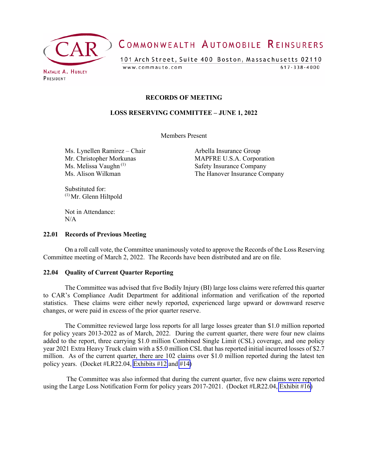

# COMMONWEALTH AUTOMOBILE REINSURERS

101 Arch Street, Suite 400 Boston, Massachusetts 02110  $617 - 338 - 4000$ www.commauto.com

**RECORDS OF MEETING** 

#### **LOSS RESERVING COMMITTEE – JUNE 1, 2022**

Members Present

Ms. Lynellen Ramirez – Chair **Arbella Insurance Group** 

Mr. Christopher Morkunas MAPFRE U.S.A. Corporation<br>
Ms. Melissa Vaughn<sup>(1)</sup> Safety Insurance Company Safety Insurance Company Ms. Alison Wilkman The Hanover Insurance Company

Substituted for: (1) Mr. Glenn Hiltpold

Not in Attendance:  $N/A$ 

#### **22.01 Records of Previous Meeting**

On a roll call vote, the Committee unanimously voted to approve the Records of the Loss Reserving Committee meeting of March 2, 2022. The Records have been distributed and are on file.

#### **22.04 Quality of Current Quarter Reporting**

The Committee was advised that five Bodily Injury (BI) large loss claims were referred this quarter to CAR's Compliance Audit Department for additional information and verification of the reported statistics. These claims were either newly reported, experienced large upward or downward reserve changes, or were paid in excess of the prior quarter reserve.

The Committee reviewed large loss reports for all large losses greater than \$1.0 million reported for policy years 2013-2022 as of March, 2022. During the current quarter, there were four new claims added to the report, three carrying \$1.0 million Combined Single Limit (CSL) coverage, and one policy year 2021 Extra Heavy Truck claim with a \$5.0 million CSL that has reported initial incurred losses of \$2.7 million. As of the current quarter, there are 102 claims over \$1.0 million reported during the latest ten policy years. (Docket #LR22.04, [Exhibits #12](#page-7-0) and [#14\)](#page-9-0)

The Committee was also informed that during the current quarter, five new claims were reported using the Large Loss Notification Form for policy years 2017-2021. (Docket #LR22.04, [Exhibit #16\)](#page-10-0)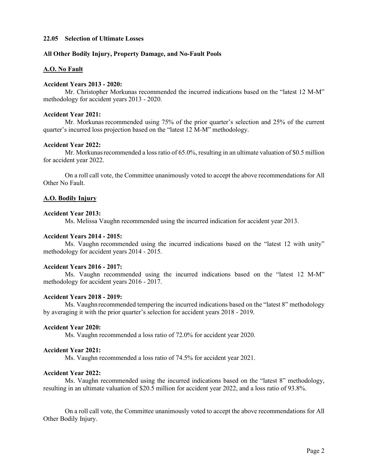#### **22.05 Selection of Ultimate Losses**

#### **All Other Bodily Injury, Property Damage, and No-Fault Pools**

#### **A.O. No Fault**

#### **Accident Years 2013 - 2020:**

Mr. Christopher Morkunas recommended the incurred indications based on the "latest 12 M-M" methodology for accident years 2013 - 2020.

#### **Accident Year 2021:**

Mr. Morkunas recommended using 75% of the prior quarter's selection and 25% of the current quarter's incurred loss projection based on the "latest 12 M-M" methodology.

#### **Accident Year 2022:**

Mr. Morkunas recommended a loss ratio of 65.0%, resulting in an ultimate valuation of \$0.5 million for accident year 2022.

On a roll call vote, the Committee unanimously voted to accept the above recommendations for All Other No Fault.

#### **A.O. Bodily Injury**

#### **Accident Year 2013:**

Ms. Melissa Vaughn recommended using the incurred indication for accident year 2013.

#### **Accident Years 2014 - 2015:**

Ms. Vaughn recommended using the incurred indications based on the "latest 12 with unity" methodology for accident years 2014 - 2015.

#### **Accident Years 2016 - 2017:**

Ms. Vaughn recommended using the incurred indications based on the "latest 12 M-M" methodology for accident years 2016 - 2017.

#### **Accident Years 2018 - 2019:**

Ms. Vaughn recommended tempering the incurred indications based on the "latest 8" methodology by averaging it with the prior quarter's selection for accident years 2018 - 2019.

#### **Accident Year 2020:**

Ms. Vaughn recommended a loss ratio of 72.0% for accident year 2020.

#### **Accident Year 2021:**

Ms. Vaughn recommended a loss ratio of 74.5% for accident year 2021.

#### **Accident Year 2022:**

Ms. Vaughn recommended using the incurred indications based on the "latest 8" methodology, resulting in an ultimate valuation of \$20.5 million for accident year 2022, and a loss ratio of 93.8%.

On a roll call vote, the Committee unanimously voted to accept the above recommendations for All Other Bodily Injury.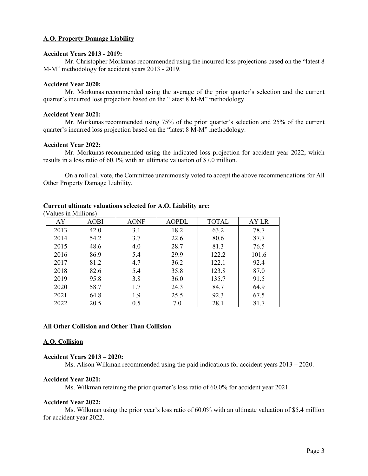#### **A.O. Property Damage Liability**

### **Accident Years 2013 - 2019:**

Mr. Christopher Morkunas recommended using the incurred loss projections based on the "latest 8 M-M" methodology for accident years 2013 - 2019.

#### **Accident Year 2020:**

Mr. Morkunas recommended using the average of the prior quarter's selection and the current quarter's incurred loss projection based on the "latest 8 M-M" methodology.

#### **Accident Year 2021:**

Mr. Morkunas recommended using 75% of the prior quarter's selection and 25% of the current quarter's incurred loss projection based on the "latest 8 M-M" methodology.

#### **Accident Year 2022:**

Mr. Morkunas recommended using the indicated loss projection for accident year 2022, which results in a loss ratio of 60.1% with an ultimate valuation of \$7.0 million.

On a roll call vote, the Committee unanimously voted to accept the above recommendations for All Other Property Damage Liability.

| V AIUCS III IVIIIIIUIIS I |             |             |              |              |       |
|---------------------------|-------------|-------------|--------------|--------------|-------|
| AY                        | <b>AOBI</b> | <b>AONF</b> | <b>AOPDL</b> | <b>TOTAL</b> | AY LR |
| 2013                      | 42.0        | 3.1         | 18.2         | 63.2         | 78.7  |
| 2014                      | 54.2        | 3.7         | 22.6         | 80.6         | 87.7  |
| 2015                      | 48.6        | 4.0         | 28.7         | 81.3         | 76.5  |
| 2016                      | 86.9        | 5.4         | 29.9         | 122.2        | 101.6 |
| 2017                      | 81.2        | 4.7         | 36.2         | 122.1        | 92.4  |
| 2018                      | 82.6        | 5.4         | 35.8         | 123.8        | 87.0  |
| 2019                      | 95.8        | 3.8         | 36.0         | 135.7        | 91.5  |
| 2020                      | 58.7        | 1.7         | 24.3         | 84.7         | 64.9  |
| 2021                      | 64.8        | 1.9         | 25.5         | 92.3         | 67.5  |
| 2022                      | 20.5        | 0.5         | 7.0          | 28.1         | 81.7  |

#### **Current ultimate valuations selected for A.O. Liability are:** (Values in Millions)

#### **All Other Collision and Other Than Collision**

#### **A.O. Collision**

#### **Accident Years 2013 – 2020:**

Ms. Alison Wilkman recommended using the paid indications for accident years 2013 – 2020.

#### **Accident Year 2021:**

Ms. Wilkman retaining the prior quarter's loss ratio of 60.0% for accident year 2021.

#### **Accident Year 2022:**

Ms. Wilkman using the prior year's loss ratio of 60.0% with an ultimate valuation of \$5.4 million for accident year 2022.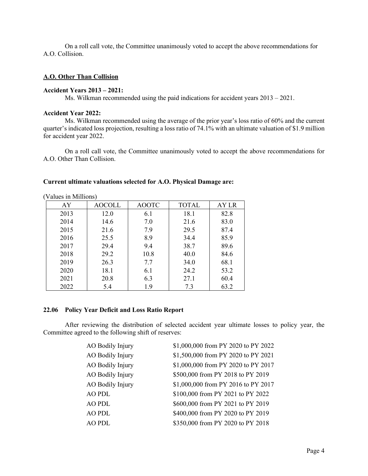On a roll call vote, the Committee unanimously voted to accept the above recommendations for A.O. Collision.

#### **A.O. Other Than Collision**

#### **Accident Years 2013 – 2021:**

Ms. Wilkman recommended using the paid indications for accident years 2013 – 2021.

#### **Accident Year 2022:**

Ms. Wilkman recommended using the average of the prior year's loss ratio of 60% and the current quarter's indicated loss projection, resulting a loss ratio of 74.1% with an ultimate valuation of \$1.9 million for accident year 2022.

On a roll call vote, the Committee unanimously voted to accept the above recommendations for A.O. Other Than Collision.

#### **Current ultimate valuations selected for A.O. Physical Damage are:**

| $\frac{1}{2}$ |               |              |              |       |
|---------------|---------------|--------------|--------------|-------|
| AY            | <b>AOCOLL</b> | <b>AOOTC</b> | <b>TOTAL</b> | AY LR |
| 2013          | 12.0          | 6.1          | 18.1         | 82.8  |
| 2014          | 14.6          | 7.0          | 21.6         | 83.0  |
| 2015          | 21.6          | 7.9          | 29.5         | 87.4  |
| 2016          | 25.5          | 8.9          | 34.4         | 85.9  |
| 2017          | 29.4          | 9.4          | 38.7         | 89.6  |
| 2018          | 29.2          | 10.8         | 40.0         | 84.6  |
| 2019          | 26.3          | 7.7          | 34.0         | 68.1  |
| 2020          | 18.1          | 6.1          | 24.2         | 53.2  |
| 2021          | 20.8          | 6.3          | 27.1         | 60.4  |
| 2022          | 5.4           | 1.9          | 7.3          | 63.2  |

(Values in Millions)

#### **22.06 Policy Year Deficit and Loss Ratio Report**

After reviewing the distribution of selected accident year ultimate losses to policy year, the Committee agreed to the following shift of reserves:

| AO Bodily Injury | \$1,000,000 from PY 2020 to PY 2022 |
|------------------|-------------------------------------|
| AO Bodily Injury | \$1,500,000 from PY 2020 to PY 2021 |
| AO Bodily Injury | \$1,000,000 from PY 2020 to PY 2017 |
| AO Bodily Injury | \$500,000 from PY 2018 to PY 2019   |
| AO Bodily Injury | \$1,000,000 from PY 2016 to PY 2017 |
| <b>AO PDL</b>    | \$100,000 from PY 2021 to PY 2022   |
| <b>AO PDL</b>    | \$600,000 from PY 2021 to PY 2019   |
| <b>AO PDL</b>    | \$400,000 from PY 2020 to PY 2019   |
| AO PDL           | \$350,000 from PY 2020 to PY 2018   |
|                  |                                     |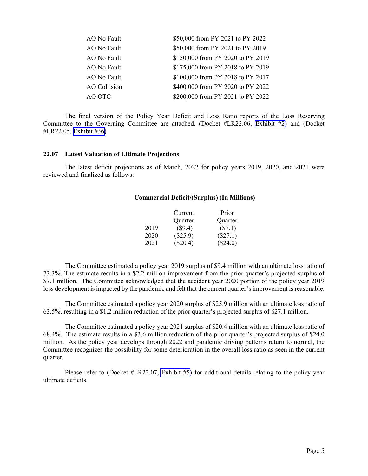| AO No Fault  | \$50,000 from PY 2021 to PY 2022  |
|--------------|-----------------------------------|
| AO No Fault  | \$50,000 from PY 2021 to PY 2019  |
| AO No Fault  | \$150,000 from PY 2020 to PY 2019 |
| AO No Fault  | \$175,000 from PY 2018 to PY 2019 |
| AO No Fault  | \$100,000 from PY 2018 to PY 2017 |
| AO Collision | \$400,000 from PY 2020 to PY 2022 |
| AO OTC       | \$200,000 from PY 2021 to PY 2022 |

The final version of the Policy Year Deficit and Loss Ratio reports of the Loss Reserving Committee to the Governing Committee are attached. (Docket #LR22.06, [Exhibit #2\)](#page-21-0) and (Docket #LR22.05, [Exhibit #36\)](#page-11-0)

#### **22.07 Latest Valuation of Ultimate Projections**

The latest deficit projections as of March, 2022 for policy years 2019, 2020, and 2021 were reviewed and finalized as follows:

#### **Commercial Deficit/(Surplus) (In Millions)**

|      | Current    | Prior      |
|------|------------|------------|
|      | Quarter    | Quarter    |
| 2019 | (\$9.4)    | $(\$7.1)$  |
| 2020 | (\$25.9)   | $(\$27.1)$ |
| 2021 | $(\$20.4)$ | (\$24.0)   |

The Committee estimated a policy year 2019 surplus of \$9.4 million with an ultimate loss ratio of 73.3%. The estimate results in a \$2.2 million improvement from the prior quarter's projected surplus of \$7.1 million. The Committee acknowledged that the accident year 2020 portion of the policy year 2019 loss development is impacted by the pandemic and felt that the current quarter's improvement is reasonable.

The Committee estimated a policy year 2020 surplus of \$25.9 million with an ultimate loss ratio of 63.5%, resulting in a \$1.2 million reduction of the prior quarter's projected surplus of \$27.1 million.

The Committee estimated a policy year 2021 surplus of \$20.4 million with an ultimate loss ratio of 68.4%. The estimate results in a \$3.6 million reduction of the prior quarter's projected surplus of \$24.0 million. As the policy year develops through 2022 and pandemic driving patterns return to normal, the Committee recognizes the possibility for some deterioration in the overall loss ratio as seen in the current quarter.

Please refer to (Docket #LR22.07, [Exhibit #5\)](#page-23-0) for additional details relating to the policy year ultimate deficits.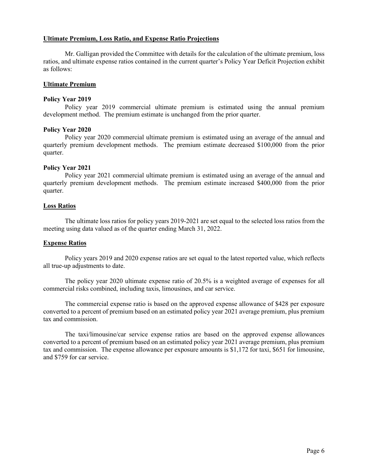#### **Ultimate Premium, Loss Ratio, and Expense Ratio Projections**

Mr. Galligan provided the Committee with details for the calculation of the ultimate premium, loss ratios, and ultimate expense ratios contained in the current quarter's Policy Year Deficit Projection exhibit as follows:

#### **Ultimate Premium**

#### **Policy Year 2019**

Policy year 2019 commercial ultimate premium is estimated using the annual premium development method. The premium estimate is unchanged from the prior quarter.

#### **Policy Year 2020**

Policy year 2020 commercial ultimate premium is estimated using an average of the annual and quarterly premium development methods. The premium estimate decreased \$100,000 from the prior quarter.

#### **Policy Year 2021**

Policy year 2021 commercial ultimate premium is estimated using an average of the annual and quarterly premium development methods. The premium estimate increased \$400,000 from the prior quarter.

#### **Loss Ratios**

The ultimate loss ratios for policy years 2019-2021 are set equal to the selected loss ratios from the meeting using data valued as of the quarter ending March 31, 2022.

#### **Expense Ratios**

Policy years 2019 and 2020 expense ratios are set equal to the latest reported value, which reflects all true-up adjustments to date.

The policy year 2020 ultimate expense ratio of 20.5% is a weighted average of expenses for all commercial risks combined, including taxis, limousines, and car service.

The commercial expense ratio is based on the approved expense allowance of \$428 per exposure converted to a percent of premium based on an estimated policy year 2021 average premium, plus premium tax and commission.

The taxi/limousine/car service expense ratios are based on the approved expense allowances converted to a percent of premium based on an estimated policy year 2021 average premium, plus premium tax and commission. The expense allowance per exposure amounts is \$1,172 for taxi, \$651 for limousine, and \$759 for car service.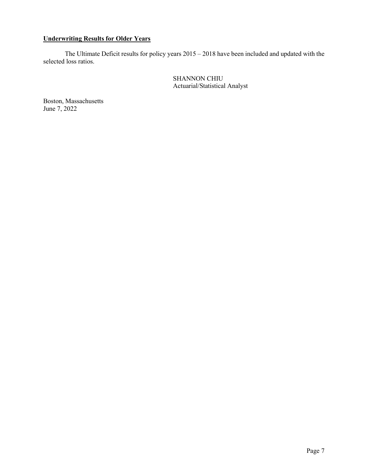## **Underwriting Results for Older Years**

The Ultimate Deficit results for policy years 2015 – 2018 have been included and updated with the selected loss ratios.

> SHANNON CHIU Actuarial/Statistical Analyst

Boston, Massachusetts June 7, 2022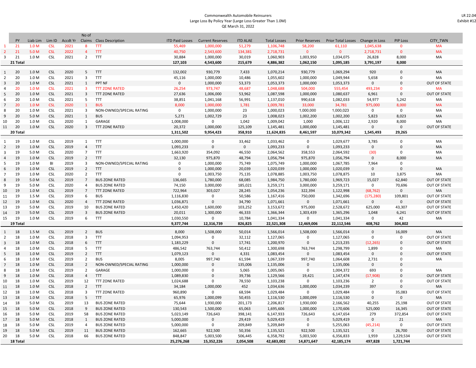#### Commonwealth Automobile Reinsurers Large Loss By Policy Year (Large Loss Greater Than 1.0M) QE March 31, 2022

m.

<span id="page-7-0"></span>

|                |           |                  |            |          | No of                   |                          |                        |                         |                 |                     |                       |                                   |              |                 |                     |
|----------------|-----------|------------------|------------|----------|-------------------------|--------------------------|------------------------|-------------------------|-----------------|---------------------|-----------------------|-----------------------------------|--------------|-----------------|---------------------|
|                | <b>PY</b> | Liab Lim         | Lim ID     | Accdt Yr |                         | Claims Class Description | <b>ITD Paid Losses</b> | <b>Current Reserves</b> | <b>ITD ALAE</b> | <b>Total Losses</b> | <b>Prior Reserves</b> | Prior Total Losses Change in Loss |              | <b>PIP Loss</b> | <b>CITY TWN</b>     |
| 1              | 21        | 1.0 <sub>M</sub> | <b>CSL</b> | 2021     | 8                       | <b>TTT</b>               | 55,469                 | 1,000,000               | 51,279          | 1,106,748           | 58,200                | 61,110                            | 1,045,638    | $\mathbf{0}$    | MA                  |
| $\overline{2}$ | 21        | 5.0 M            | <b>CSL</b> | 2022     | $\overline{4}$          | <b>TTT</b>               | 40,750                 | 2,543,600               | 134,381         | 2,718,731           | $\mathbf{0}$          | $\mathbf{0}$                      | 2,718,731    | $\mathbf{0}$    | <b>MA</b>           |
| 3              | 21        | 1.0 M            | CSL        | 2021     | $\overline{2}$          | <b>TTT</b>               | 30,884                 | 1,000,000               | 30,019          | 1,060,903           | 1,003,950             | 1,034,075                         | 26,828       | 8,000           | MA                  |
|                | 21 Total  |                  |            |          |                         |                          | 127,103                | 4,543,600               | 215,679         | 4,886,382           | 1,062,150             | 1,095,185                         | 3,791,197    | 8,000           |                     |
| $\mathbf{1}$   | 20        | 1.0 M            | <b>CSL</b> | 2020     | 5                       | <b>TTT</b>               | 132,002                | 930,779                 | 7,433           | 1,070,214           | 930,779               | 1,069,294                         | 920          | $\mathbf{0}$    | <b>MA</b>           |
| 2              | 20        | 1.0 M            | <b>CSL</b> | 2021     | 3                       | <b>TTT</b>               | 45,116                 | 1,000,000               | 10,486          | 1,055,602           | 1,000,000             | 1,049,944                         | 5,658        | $\mathbf 0$     | MA                  |
| 3              | 20        | 1.0 M            | <b>CSL</b> | 2021     | 1                       | PPT NF                   | $\mathbf 0$            | 1,000,000               | 53,373          | 1,053,373           | 1,000,000             | 1,053,373                         | $\mathbf 0$  | $\mathbf 0$     | <b>OUT OF STATE</b> |
| $\overline{a}$ | 20        | 1.0 <sub>M</sub> | <b>CSL</b> | 2021     | 3                       | <b>TTT ZONE RATED</b>    | 26,254                 | 973,747                 | 48,687          | 1,048,688           | 504,000               | 555,454                           | 493,234      | $\mathbf 0$     | <b>MA</b>           |
| 5              | 20        | 1.0 M            | <b>CSL</b> | 2021     | $\overline{\mathbf{3}}$ | <b>TTT ZONE RATED</b>    | 27,636                 | 1,006,000               | 53,962          | 1,087,598           | 1,000,000             | 1,080,637                         | 6,961        | $\mathbf 0$     | <b>OUT OF STATE</b> |
| 6              | 20        | 1.0 M            | <b>CSL</b> | 2021     | 5                       | TTT                      | 38,851                 | 1,041,168               | 56,991          | 1,137,010           | 990,618               | 1,082,033                         | 54,977       | 5,242           | MA                  |
| $\overline{7}$ | 20        | 1.0 <sub>M</sub> | <b>CSL</b> | 2020     | $\mathbf{1}$            | <b>BUS</b>               | 8,000                  | 1,000,000               | 1,781           | 1,009,781           | 33,000                | 34,781                            | 975,000      | 8,000           | <b>MA</b>           |
| 8              | 20        | 1.0 M            | CSL        | 2021     | 3                       | NON-OWNED/SPECIAL RATING | $\mathsf{O}$           | 1,000,000               | 23              | 1,000,023           | 1,000,000             | 1,000,023                         | 0            | $\mathsf 0$     | MA                  |
| 9              | 20        | 5.0 M            | CSL        | 2021     | 1                       | <b>BUS</b>               | 5,271                  | 1,002,729               | 23              | 1,008,023           | 1,002,200             | 1,002,200                         | 5,823        | 8,023           | MA                  |
| 10             | 20        | 1.0 M            | <b>CSL</b> | 2020     | 1                       | GARAGE                   | 1,008,000              | $\mathbf{0}$            | 1,042           | 1,009,042           | 1,000                 | 1,006,122                         | 2,920        | 8,000           | MA                  |
| 11             | 20        | 1.0 M            | <b>CSL</b> | 2020     | $\overline{3}$          | <b>TTT ZONE RATED</b>    | 20,372                 | 1,000,000               | 125,109         | 1,145,481           | 1,000,000             | 1,145,481                         | $\Omega$     | $\mathbf 0$     | <b>OUT OF STATE</b> |
|                | 20 Total  |                  |            |          |                         |                          | 1,311,502              | 9,954,423               | 358,910         | 11,624,835          | 8,461,597             | 10,079,342                        | 1,545,493    | 29,265          |                     |
|                |           |                  |            |          |                         |                          |                        |                         |                 |                     |                       |                                   |              |                 |                     |
| $\mathbf{1}$   | 19        | 1.0 M            | <b>CSL</b> | 2019     | 1                       | <b>TTT</b>               | 1,000,000              | 0                       | 33,462          | 1,033,462           | 0                     | 1,029,677                         | 3,785        | $\mathbf 0$     | MA                  |
| $\overline{2}$ | 19        | 1.0 M            | <b>CSL</b> | 2019     | $\overline{4}$          | <b>TTT</b>               | 1,093,233              | $\mathbf 0$             | $\mathbf 0$     | 1,093,233           | $\mathbf 0$           | 1,093,233                         | $\mathbf 0$  | $\mathbf{0}$    | MA                  |
| 3              | 19        | 5.0 M            | <b>CSL</b> | 2020     | $\overline{7}$          | <b>TTT</b>               | 1,663,920              | 354,092                 | 46,550          | 2,064,562           | 358,553               | 2,064,592                         | (30)         | $\mathbf 0$     | MA                  |
| $\overline{4}$ | 19        | 1.0 M            | <b>CSL</b> | 2019     | $\overline{2}$          | <b>TTT</b>               | 32,130                 | 975,870                 | 48,794          | 1,056,794           | 975,870               | 1,056,794                         | $\Omega$     | 8,000           | <b>MA</b>           |
| 5              | 19        | 1.0 M            | BI         | 2019     | 3                       | NON-OWNED/SPECIAL RATING | 0                      | 1,000,000               | 75,749          | 1,075,749           | 1,000,000             | 1,067,785                         | 7,964        | 0               |                     |
| 6              | 19        | 1.0 M            | <b>CSL</b> | 2019     | $\overline{2}$          | <b>TTT</b>               | 0                      | 1,000,000               | 20,039          | 1,020,039           | 1,000,000             | 1,020,039                         | $\Omega$     | $\mathbf 0$     | MA                  |
|                | 19        | 1.0 M            | <b>CSL</b> | 2020     | 2                       | <b>TTT</b>               | 0                      | 1,003,750               | 75,135          | 1,078,885           | 1,003,750             | 1,078,875                         | 10           | 3,875           | MA                  |
| 8              | 19        | 5.0 M            | <b>CSL</b> | 2019     | $\overline{7}$          | <b>BUS ZONE RATED</b>    | 136,665                | 1,780,000               | 68,085          | 1,984,750           | 1,780,000             | 1,969,723                         | 15,027       | 62,840          | <b>OUT OF STATE</b> |
| 9              | 19        | 5.0 M            | <b>CSL</b> | 2020     | $\overline{4}$          | <b>BUS ZONE RATED</b>    | 74,150                 | 3,000,000               | 185,021         | 3,259,171           | 3,000,000             | 3,259,171                         | 0            | 70,696          | OUT OF STATE        |
| 10             | 19        | 1.0 M            | <b>CSL</b> | 2019     | $\overline{7}$          | <b>TTT ZONE RATED</b>    | 722,964                | 303,027                 | 28,245          | 1,054,236           | 322,394               | 1,122,998                         | (68, 762)    | $\mathbf 0$     | MA                  |
| 11             | 19        | 1.5 M            | <b>CSL</b> | 2019     | 6                       | <b>BUS</b>               | 1,116,830              | 0                       | 50,586          | 1,167,416           | 750,000               | 1,342,696                         | (175, 280)   | 109,801         | OUT OF STATE        |
| 12             | 19        | 1.0 M            | <b>CSL</b> | 2020     | $\overline{4}$          | <b>TTT ZONE RATED</b>    | 1,036,871              | $\mathbf 0$             | 34,790          | 1,071,661           | $\mathbf 0$           | 1,071,661                         | $\mathbf 0$  | $\mathbf 0$     | <b>OUT OF STATE</b> |
| 13             | 19        | 5.0 M            | <b>CSL</b> | 2019     | 10                      | <b>BUS ZONE RATED</b>    | 1,450,420              | 1,600,000               | 103,252         | 3,153,672           | 975,000               | 2,528,672                         | 625,000      | 43,307          | OUT OF STATE        |
| 14             | 19        | 5.0 M            | <b>CSL</b> | 2019     | $\overline{3}$          | <b>BUS ZONE RATED</b>    | 20,011                 | 1,300,000               | 46,333          | 1,366,344           | 1,303,439             | 1,365,296                         | 1,048        | 6,241           | <b>OUT OF STATE</b> |
| 15             | 19        | 1.0 M            | <b>CSL</b> | 2019     | 6                       | <b>TTT</b>               | 1,030,550              | $\Omega$                | 10,784          | 1,041,334           | 0                     | 1,041,334                         | 0            | 42              | MA                  |
|                | 19 Total  |                  |            |          |                         |                          | 9,377,744              | 12,316,739              | 826,825         | 22,521,308          | 12,469,006            | 22,112,546                        | 408,762      | 304,802         |                     |
| $\mathbf{1}$   | 18        | 1.5 M            | <b>CSL</b> | 2019     | $\overline{2}$          | <b>BUS</b>               | 8,000                  | 1,508,000               | 50,014          | 1,566,014           | 1,508,000             | 1,566,014                         | $\mathbf{0}$ | 16,009          | MA                  |
| $\overline{2}$ | 18        | 1.0 M            | <b>CSL</b> | 2018     | 3                       | <b>TTT</b>               | 1,094,953              | 0                       | 32,112          | 1,127,065           | $\Omega$              | 1,127,065                         | $\Omega$     | 0               | <b>OUT OF STATE</b> |
| 3              | 18        | 1.0 M            | <b>CSL</b> | 2018     | 6                       | <b>TTT</b>               | 1,183,229              | 0                       | 17,741          | 1,200,970           | $\mathbf 0$           | 1,213,235                         | (12, 265)    | $\mathbf 0$     | <b>OUT OF STATE</b> |
| 4              | 18        | 1.0 M            | <b>CSL</b> | 2018     | 5                       | <b>TTT</b>               | 486,542                | 763,744                 | 50,412          | 1,300,698           | 763,744               | 1,298,799                         | 1,899        | $\mathbf 0$     | MA                  |
| 5              | 18        | 1.0 M            | <b>CSL</b> | 2019     | $\overline{2}$          | <b>TTT</b>               | 1,079,123              | $\mathbf 0$             | 4,331           | 1,083,454           | $\Omega$              | 1,083,454                         | $\mathbf 0$  | $\mathbf 0$     | OUT OF STATE        |
| 6              | 18        | 1.0 M            | <b>CSL</b> | 2019     | $\overline{2}$          | <b>BUS</b>               | 8,005                  | 997,740                 | 61,594          | 1,067,339           | 997,740               | 1,064,608                         | 2,731        | $\mathbf 0$     | MA                  |
| $\overline{7}$ | 18        | 1.0 M            | <b>CSL</b> | 2018     | $\overline{2}$          | NON-OWNED/SPECIAL RATING | 1,000,000              | $\mathbf 0$             | 135,006         | 1,135,006           | $\mathbf 0$           | 1,135,006                         | $\mathbf 0$  | $\mathbf 0$     |                     |
| 8              | 18        | 1.0 M            | <b>CSL</b> | 2019     | $\overline{2}$          | GARAGE                   | 1,000,000              | 0                       | 5,065           | 1,005,065           | 0                     | 1,004,372                         | 693          | $\mathbf 0$     | MA                  |
| 9              | 18        | 1.0 M            | <b>CSL</b> | 2018     | $\overline{4}$          | <b>TTT</b>               | 1,089,830              | $\Omega$                | 39,736          | 1,129,566           | 19,421                | 1,147,474                         | (17,908)     | $\Omega$        | <b>OUT OF STATE</b> |
| 10             | 18        | 1.0 M            | <b>CSL</b> | 2019     | 12                      | <b>TTT ZONE RATED</b>    | 1,024,688              | 0                       | 78,550          | 1,103,238           | $\Omega$              | 1,103,236                         | 2            | 0               | OUT OF STATE        |
| 11             | 18        | 1.0 M            | <b>CSL</b> | 2018     | $\overline{2}$          | <b>TTT</b>               | 34,184                 | 1,000,000               | 452             | 1,034,636           | 1,000,000             | 1,034,239                         | 397          | $\mathbf 0$     | MA                  |
| 12             | 18        | 1.0 M            | <b>CSL</b> | 2018     | 3                       | <b>TTT ZONE RATED</b>    | 960,890                | 0                       | 68,594          | 1,029,484           | 0                     | 1,029,484                         | $\mathbf 0$  | 35,083          | <b>OUT OF STATE</b> |
| 13             | 18        | 1.0 M            | <b>CSL</b> | 2018     | 5                       | <b>TTT</b>               | 65,976                 | 1,000,099               | 50,455          | 1,116,530           | 1,000,099             | 1,116,530                         | $\Omega$     | $\Omega$        | MA                  |
| 14             | 18        | 5.0 M            | <b>CSL</b> | 2019     | 13                      | <b>BUS ZONE RATED</b>    | 75,644                 | 1,930,000               | 201,173         | 2,206,817           | 1,930,000             | 2,166,562                         | 40,255       | 25,198          | OUT OF STATE        |
| 15             | 18        | 5.0 M            | CSL        | 2018     | 9                       | <b>BUS ZONE RATED</b>    | 130,543                | 1,500,000               | 65,063          | 1,695,606           | 1,000,000             | 1,170,606                         | 525,000      | 16,345          | <b>OUT OF STATE</b> |
| 16             | 18        | 5.0 M            | <b>CSL</b> | 2019     | 58                      | <b>BUS ZONE RATED</b>    | 5,023,149              | 726,643                 | 398,141         | 6,147,933           | 726,643               | 6,147,654                         | 279          | 372,854         | <b>OUT OF STATE</b> |
| 17             | 18        | 5.0 M            | <b>CSL</b> | 2018     | 1                       | <b>BUS ZONE RATED</b>    | 5,000,000              | $\mathbf{0}$            | 29,419          | 5,029,419           | $\Omega$              | 5,029,419                         | $\Omega$     | 21              | MA                  |
| 18             | 18        | 5.0 M            | <b>CSL</b> | 2019     | $\overline{4}$          | <b>BUS ZONE RATED</b>    | 5,000,000              | $\Omega$                | 209,849         | 5,209,849           | 0                     | 5,255,063                         | (45, 214)    | $\mathbf 0$     | OUT OF STATE        |
| 19             | 18        | 5.0 M            | <b>CSL</b> | 2019     | 11                      | <b>BUS ZONE RATED</b>    | 162,665                | 922,500                 | 50,356          | 1,135,521           | 922,500               | 1,135,521                         | $\mathbf{0}$ | 26,700          | OUT OF STATE        |
| 20             | 18        | 5.0 M            | <b>CSL</b> | 2018     | 66                      | <b>BUS ZONE RATED</b>    | 848,847                | 5,003,500               | 506,445         | 6,358,792           | 5,003,500             | 6,356,833                         | 1,959        | 1,229,534       | OUT OF STATE        |
|                | 18 Total  |                  |            |          |                         |                          | 25,276,268             | 15,352,226              | 2,054,508       | 42,683,002          | 14,871,647            | 42,185,174                        | 497,828      | 1,721,744       |                     |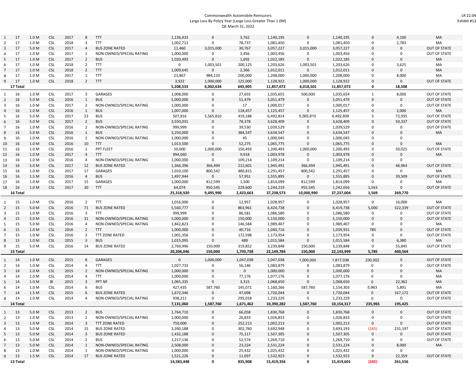#### Commonwealth Automobile Reinsurers Large Loss By Policy Year (Large Loss Greater Than 1.0M) QE March 31, 2022

| $\mathbf{1}$   | 17       | 1.0 M | <b>CSL</b>               | 2017         | 8                       | <b>TTT</b>               | 1,136,433              | 0                        | 3,762            | 1,140,195              | $\mathbf 0$         | 1,140,195              | $\Omega$      | 4,100                 | MA                  |
|----------------|----------|-------|--------------------------|--------------|-------------------------|--------------------------|------------------------|--------------------------|------------------|------------------------|---------------------|------------------------|---------------|-----------------------|---------------------|
| 2              | 17       | 1.0 M | <b>CSL</b>               | 2018         | 3                       | TTT                      | 1,002,713              | 0                        | 78,737           | 1,081,450              | 0                   | 1,081,450              | 0             | 2,783                 | MA                  |
| $\overline{3}$ | 17       | 5.0 M | <b>CSL</b>               | 2017         | $\overline{4}$          | <b>BUS ZONE RATED</b>    | 11,460                 | 3,015,000                | 30,767           | 3,057,227              | 3,015,000           | 3,057,227              | $\Omega$      | 0                     | <b>OUT OF STATE</b> |
|                | 17       | 1.0 M | <b>CSL</b>               | 2017         | $\mathbf{1}$            | NON-OWNED/SPECIAL RATING | 1,000,000              | 0                        | 3,456            | 1,003,456              | 0                   | 1,003,456              | 0             | $\mathsf 0$           | <b>OUT OF STATE</b> |
| 5              | 17       | 1.0 M | <b>CSL</b>               | 2017         | $\overline{2}$          | <b>BUS</b>               | 1,020,493              | 0                        | 1,692            | 1,022,185              | $\mathbf 0$         | 1,022,185              | $\Omega$      | $\mathbf 0$           | MA                  |
| 6              | 17       | 1.0 M | <b>CSL</b>               | 2018         | $\overline{2}$          | TTT                      | 0                      | 1,003,501                | 200,125          | 1,203,626              | 1,003,501           | 1,203,626              | 0             | 3,625                 | MA                  |
| 7              | 17       | 1.0 M | <b>CSL</b>               | 2018         | $\overline{2}$          | <b>TTT</b>               | 1,009,645              | 0                        | 2,366            | 1,012,011              | $\mathbf 0$         | 1,012,011              | $\Omega$      | $\mathsf 0$           | MA                  |
| 8              | 17       | 1.0 M | <b>CSL</b>               | 2017         | $\mathbf{1}$            | <b>TTT</b>               | 23,867                 | 984,133                  | 200,000          | 1,208,000              | 1,000,000           | 1,208,000              | $\Omega$      | 8,000                 | MA                  |
| 9              | 17       | 1.0 M | <b>CSL</b>               | 2018         | $\overline{2}$          | <b>TTT</b>               | 3,922                  | 1,000,000                | 125,000          | 1,128,922              | 1,000,000           | 1,128,922              | $\Omega$      | $\mathbf 0$           | <b>OUT OF STATE</b> |
|                | 17 Total |       |                          |              |                         |                          | 5,208,533              | 6,002,634                | 645,905          | 11,857,072             | 6,018,501           | 11,857,072             | 0             | 18,508                |                     |
|                |          |       |                          |              |                         |                          |                        |                          |                  |                        |                     |                        |               |                       |                     |
| 1              | 16       | 1.0 M | <b>CSL</b>               | 2017         | 3                       | <b>GARAGES</b>           | 1,008,000              | 0                        | 27,655           | 1,035,655              | 500,000             | 1,035,654              | 1<br>$\Omega$ | 8,000                 | <b>OUT OF STATE</b> |
| $\overline{2}$ | 16       | 5.0 M | <b>CSL</b>               | 2016         | $\mathbf{1}$            | <b>BUS</b>               | 5,000,000              | 0                        | 51,479           | 5,051,479              | 0                   | 5,051,479              |               | $\mathbf 0$           | <b>OUT OF STATE</b> |
| 3              | 16       | 1.0 M | <b>CSL</b>               | 2017         | $\overline{2}$          | NON-OWNED/SPECIAL RATING | 1,000,000              | 0                        | 17               | 1,000,017              | 0                   | 1,000,017              | 0             | $\mathbf 0$           | OUT OF STATE        |
| 4              | 16       | 1.0 M | <b>CSL</b>               | 2016         | $\mathbf{1}$            | <b>BUS</b>               | 1,007,000              | 0                        | 118,457          | 1,125,457              | $\mathbf 0$         | 1,125,457              | $\Omega$      | 2,000                 | MA                  |
| 5              | 16       | 5.0 M | <b>CSL</b>               | 2017         | 23                      | <b>BUS</b>               | 507,816                | 5,565,810                | 419,188          | 6,492,814              | 5,565,810           | 6,492,809              | 5             | 72,935                | OUT OF STATE        |
| 6              | 16       | 5.0 M | <b>CSL</b>               | 2017         | $\overline{2}$          | <b>BUS</b>               | 3,550,031              | 0                        | 78,378           | 3,628,409              | $\mathbf 0$         | 3,628,409              | $\Omega$      | 50,337                | <b>OUT OF STATE</b> |
| 7              | 16       | 1.0 M | <b>CSL</b>               | 2016         | $\overline{2}$          | NON-OWNED/SPECIAL RATING | 999,999                | 0                        | 39,530           | 1,039,529              | 0                   | 1,039,529              | $\Omega$      | 0                     | OUT OF STATE        |
| 8              | 16       | 5.0 M | <b>CSL</b>               | 2016         | $\mathbf{1}$            | <b>BUS</b>               | 3,250,000              | 0                        | 384,547          | 3,634,547              | $\mathbf 0$         | 3,634,547              | $\Omega$      | $\mathsf{O}\xspace$   | MA                  |
| 9              | 16       | 1.0 M | <b>CSL</b>               | 2016         | $\overline{2}$          | NON-OWNED/SPECIAL RATING | 1,000,000              | 0                        | 45               | 1,000,045              | 0                   | 1,000,045              | 0             | 0                     |                     |
| 10             | 16       | 1.0 M | <b>CSL</b>               | 2016         | 10                      | <b>TTT</b>               | 1,013,500              | 0                        | 52,275           | 1,065,775              | $\mathbf 0$         | 1,065,775              | $\Omega$      | $\mathbf 0$           | MA                  |
| 11             | 16       | 1.0 M | <b>CSL</b>               | 2016         | $\mathbf{1}$            | PPT FLEET                | 50,000                 | 1,000,000                | 150,493          | 1,200,493              | 1,000,000           | 1,200,493              | 0             | 50,025                | OUT OF STATE        |
| 12             | 16       | 1.0 M | <b>CSL</b>               | 2017         | $\overline{4}$          | <b>TTT</b>               | 994,060                | 0                        | 9,918            | 1,003,978              | 0                   | 1,003,978              | $\Omega$      | 0                     | MA                  |
| 13             | 16       | 1.0 M | <b>CSL</b>               | 2016         | 4                       | NON-OWNED/SPECIAL RATING | 1,000,000              | 0                        | 109,214          | 1,109,214              | 0                   | 1,109,214              | 0             | 0                     |                     |
| 14             | 16       | 5.0 M | <b>CSL</b>               | 2017         | 12                      | <b>BUS ZONE RATED</b>    | 1,366,396              | 366,494                  | 212,601          | 1,945,491              | 366,494             | 1,945,491              | $\Omega$      | 46,964                | <b>OUT OF STATE</b> |
| 15             | 16       | 1.0 M | <b>CSL</b>               | 2017         | 17                      | GARAGES                  | 1,010,100              | 800,542                  | 480,815          | 2,291,457              | 800,542             | 2,291,457              | $\Omega$      | $\mathbf 0$           | MA                  |
| 16             | 16       | 1.5 M | <b>CSL</b>               | 2016         | $\overline{4}$          | <b>BUS</b>               | 1,497,944              | 0                        | 57,951           | 1,555,895              | $\mathbf 0$         | 1,555,895              | $\Omega$      | 39,509                | <b>OUT OF STATE</b> |
| 17             | 16       | 1.0 M | <b>CSL</b>               | 2017         | 15                      | GARAGES                  | 1,000,000              | 812,599                  | 1,500            | 1,814,099              | 812,599             | 1,814,099              | $\Omega$      | 0                     | MA                  |
| 18             | 16       | 1.0 M | <b>CSL</b>               | 2017         | 30                      | <b>TTT</b>               | 64,074                 | 950,545                  | 229,600          | 1,244,219              | 955,545             | 1,242,656              | 1,563         | $\mathbf 0$           | OUT OF STATE        |
|                |          |       |                          |              |                         |                          |                        |                          |                  |                        |                     |                        |               |                       |                     |
|                | 16 Total |       |                          |              |                         |                          | 25,318,920             | 9,495,990                | 2,423,663        | 37,238,573             | 10,000,990          | 37,237,004             | 1,569         | 269,770               |                     |
|                |          |       |                          |              |                         |                          |                        |                          |                  |                        |                     |                        |               |                       |                     |
| 1              | 15       | 1.0 M | <b>CSL</b>               | 2016         | 2                       | <b>TTT</b>               | 1,016,000              | 0                        | 12,957           | 1,028,957              | 0                   | 1,028,957              | 0             | 16,000                | MA                  |
| $\overline{2}$ | 15       | 5.0 M | <b>CSL</b>               | 2016         | 71                      | <b>BUS ZONE RATED</b>    | 5,560,777              | 0                        | 863,961          | 6,424,738              | $\mathbf 0$         | 6,419,738              | 5,000         | 322,339               | <b>OUT OF STATE</b> |
| 3              | 15       | 1.0 M | <b>CSL</b>               | 2016         | 3                       | TTT                      | 999,999                | 0                        | 86,581           | 1,086,580              | 0                   | 1,086,580              | 0             | 0                     | OUT OF STATE        |
|                | 15       | 5.0 M | <b>CSL</b>               | 2016         | 31                      | NON-OWNED/SPECIAL RATING | 5,000,000              | 0                        | 150,000          | 5,150,000              | $\Omega$            | 5,150,000              | $\Omega$      | $\mathbf 0$           | <b>OUT OF STATE</b> |
| 5              | 15       | 5.0 M | <b>CSL</b>               | 2016         | 4                       | NON-OWNED/SPECIAL RATING | 1,842,823              | 0                        | 146,584          | 1,989,407              | 0                   | 1,989,407              | 0             | 0                     | MA                  |
| 6              | 15       | 1.0 M | <b>CSL</b>               | 2016         | $\overline{2}$          | <b>TTT</b>               | 1,000,000              | 0                        | 40,716           | 1,040,716              | $\mathbf 0$         | 1,039,931              | 785           | $\mathbf 0$           | <b>OUT OF STATE</b> |
| 7              | 15       | 1.0 M | <b>CSL</b>               | 2016         | 3                       | <b>TTT ZONE RATED</b>    | 1,001,356              | 0                        | 172,598          | 1,173,954              | 0                   | 1,173,954              | 0             | 0                     | OUT OF STATE        |
| 8              | 15       | 1.0 M | <b>CSL</b>               | 2015         | 3                       | <b>BUS</b>               | 1,015,095              | 0                        | 489              | 1,015,584              | $\mathbf 0$         | 1,015,584              | $\Omega$      | 6,380                 | MA                  |
| 9              | 15       | 5.0 M | <b>CSL</b>               | 2016         | 14                      | <b>BUS ZONE RATED</b>    | 2,769,996              | 150,000                  | 319,852          | 3,239,848              | 150,000             | 3,239,848              | $\Omega$      | 55,845                | OUT OF STATE        |
|                | 15 Tota  |       |                          |              |                         |                          | 20,206,046             | 150,000                  | 1,793,738        | 22,149,784             | 150,000             | 22,143,999             | 5,785         | 400,564               |                     |
|                |          |       |                          |              |                         |                          |                        |                          |                  |                        |                     |                        |               |                       |                     |
| $\mathbf{1}$   | 14       | 1.0 M | <b>CSL</b>               | 2015         | 8                       | <b>GARAGES</b>           | $\mathbf 0$            | 1,000,000                | 1,047,038        | 2,047,038              | 1,000,000           | 1,817,036              | 230,002       | $\mathbf 0$           | <b>OUT OF STATE</b> |
| 2              | 14       | 1.0 M | <b>CSL</b>               | 2014         | 4                       | TTT                      | 1,027,733              | 0                        | 56,146           | 1,083,879              | 0                   | 1,083,879              | $\Omega$      | $\mathbf 0$           | OUT OF STATE        |
| 3              | 14       | 1.0 M | <b>CSL</b>               | 2015         | $\overline{2}$          | NON-OWNED/SPECIAL RATING | 1,000,000              | $\Omega$                 | $\mathsf 0$      | 1,000,000              | $\Omega$            | 1,000,000              | $\Omega$      | $\mathbf 0$           | MA                  |
|                | 14       | 1.0 M | <b>CSL</b>               | 2014         | 4                       | TTT                      | 1,000,000              | 0                        | 77,176           | 1,077,176              | 0                   | 1,077,176              | $\Omega$      | 0                     | MA                  |
| 5              | 14       | 1.0 M | BI                       | 2015         | 3                       | PPT NF                   | 1,065,335              | $\Omega$                 | 3,315            | 1,068,650              | $\mathbf 0$         | 1,068,650              | $\Omega$      | 22,362                | MA                  |
| 6              | 14       | 1.0 M | <b>CSL</b>               | 2014         | 6                       | <b>BUS</b>               | 427,435                | 587,760                  | 145,071          | 1,160,266              | 587,760             | 1,154,303              | 5,963         | 5,891                 | MA                  |
| $7^{\circ}$    | 14       | 1.5 M | <b>CSL</b>               | 2015         | 6                       | <b>BUS ZONE RATED</b>    | 1,672,346              | 0                        | 47,698           | 1,720,044              | 0                   | 1,720,044              | $\Omega$      | 167,172               | OUT OF STATE        |
| 8              | 14       | 1.0 M | <b>CSL</b>               | 2014         | 4                       | NON-OWNED/SPECIAL RATING | 938,211                | 0                        | 295,018          | 1,233,229              | $\mathbf 0$         | 1,233,229              | $\Omega$      | 0                     | <b>OUT OF STATE</b> |
|                | 14 Total |       |                          |              |                         |                          | 7,131,060              | 1,587,760                | 1,671,462        | 10,390,282             | 1,587,760           | 10,154,317             | 235,965       | 195,425               |                     |
| $\mathbf{1}$   | 13       | 5.0 M | <b>CSL</b>               | 2013         | $2^{\circ}$             | <b>BUS</b>               | 1,764,710              | 0                        | 66,058           | 1,830,768              | $\mathsf{O}$        | 1,830,768              | $\mathbf 0$   | $\mathbf 0$           | OUT OF STATE        |
| $\overline{2}$ | 13       | 1.0 M | <b>CSL</b>               | 2013         | $\overline{2}$          | NON-OWNED/SPECIAL RATING | 1,000,000              | 0                        | 26,833           | 1,026,833              | 0                   | 1,026,833              | 0             | 0                     | OUT OF STATE        |
| $\mathbf{3}$   | 13       | 1.0 M | <b>CSL</b>               | 2014         | 3                       | <b>TTT ZONE RATED</b>    | 750,000                | $\mathsf{O}$             | 252,213          | 1,002,213              | $\mathsf 0$         | 1,002,213              | 0             | $\mathsf 0$           | OUT OF STATE        |
| 4              | 13       | 5.0 M | <b>CSL</b>               | 2014         | 15                      | <b>BUS ZONE RATED</b>    | 3,390,188              | 0                        | 302,760          | 3,692,948              | 0                   | 3,693,193              | (245)         | 231,197               | OUT OF STATE        |
| 5              | 13       | 5.0 M | <b>CSL</b>               | 2014         | $\overline{\mathbf{3}}$ | <b>BUS ZONE RATED</b>    | 1,432,188              | $\mathsf{O}\xspace$      | 75,117           | 1,507,305              | $\mathsf{O}\xspace$ | 1,507,305              | 0             | $\mathbf 0$           | <b>OUT OF STATE</b> |
| 6              | 13       | 5.0 M |                          |              | $\overline{2}$          | <b>BUS</b>               | 1,217,136              |                          |                  |                        | 0                   | 1,269,710              | 0             | $\mathbf{0}$          | OUT OF STATE        |
| $\overline{7}$ | 13       | 5.0 M | <b>CSL</b><br><b>CSL</b> | 2014<br>2014 | $\mathbf{1}$            | NON-OWNED/SPECIAL RATING |                        | 0<br>$\mathsf{O}$        | 52,574           | 1,269,710              | $\mathsf{O}\xspace$ |                        | $\mathbf 0$   |                       |                     |
|                |          | 1.0 M |                          |              | 1                       | NON-OWNED/SPECIAL RATING | 2,508,000              |                          | 23,224           | 2,531,224              | 0                   | 2,531,224              | 0             | 8,000<br>$\mathbf{0}$ | MA                  |
| 8<br>9         | 13<br>13 | 1.5 M | <b>CSL</b><br><b>CSL</b> | 2014<br>2014 | 17                      | <b>BUS ZONE RATED</b>    | 1,000,000<br>1,521,226 | 0<br>$\mathsf{O}\xspace$ | 25,432<br>11,697 | 1,025,432<br>1,532,923 | $\mathsf{O}\xspace$ | 1,025,432<br>1,532,923 | 0             | 22,359                | OUT OF STATE        |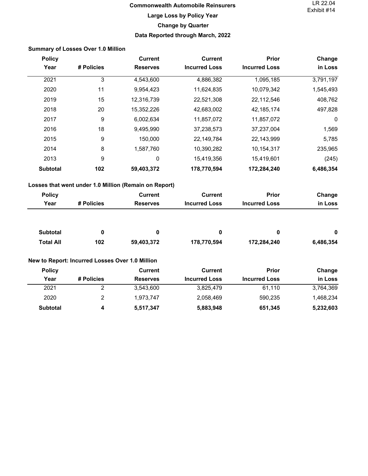# **Commonwealth Automobile Reinsurers Large Loss by Policy Year Change by Quarter Data Reported through March, 2022**

<span id="page-9-0"></span>

|                  | <b>Summary of Losses Over 1.0 Million</b>       |                                                       |                      |                      |             |
|------------------|-------------------------------------------------|-------------------------------------------------------|----------------------|----------------------|-------------|
| <b>Policy</b>    |                                                 | <b>Current</b>                                        | <b>Current</b>       | Prior                | Change      |
| Year             | # Policies                                      | <b>Reserves</b>                                       | <b>Incurred Loss</b> | <b>Incurred Loss</b> | in Loss     |
| 2021             | 3                                               | 4,543,600                                             | 4,886,382            | 1,095,185            | 3,791,197   |
| 2020             | 11                                              | 9,954,423                                             | 11,624,835           | 10,079,342           | 1,545,493   |
| 2019             | 15                                              | 12,316,739                                            | 22,521,308           | 22,112,546           | 408,762     |
| 2018             | 20                                              | 15,352,226                                            | 42,683,002           | 42,185,174           | 497,828     |
| 2017             | 9                                               | 6,002,634                                             | 11,857,072           | 11,857,072           | $\mathbf 0$ |
| 2016             | 18                                              | 9,495,990                                             | 37,238,573           | 37,237,004           | 1,569       |
| 2015             | 9                                               | 150,000                                               | 22,149,784           | 22,143,999           | 5,785       |
| 2014             | $\,8\,$                                         | 1,587,760                                             | 10,390,282           | 10,154,317           | 235,965     |
| 2013             | 9                                               | $\pmb{0}$                                             | 15,419,356           | 15,419,601           | (245)       |
| <b>Subtotal</b>  | 102                                             | 59,403,372                                            | 178,770,594          | 172,284,240          | 6,486,354   |
|                  |                                                 | Losses that went under 1.0 Million (Remain on Report) |                      |                      |             |
| <b>Policy</b>    |                                                 | <b>Current</b>                                        | <b>Current</b>       | Prior                | Change      |
| Year             | # Policies                                      | <b>Reserves</b>                                       | <b>Incurred Loss</b> | <b>Incurred Loss</b> | in Loss     |
| <b>Subtotal</b>  | 0                                               | 0                                                     | 0                    | 0                    | 0           |
| <b>Total All</b> | 102                                             | 59,403,372                                            | 178,770,594          | 172,284,240          | 6,486,354   |
|                  | New to Report: Incurred Losses Over 1.0 Million |                                                       |                      |                      |             |
| <b>Policy</b>    |                                                 | <b>Current</b>                                        | <b>Current</b>       | Prior                | Change      |
| Year             | # Policies                                      | <b>Reserves</b>                                       | <b>Incurred Loss</b> | <b>Incurred Loss</b> | in Loss     |
| 2021             | $\overline{2}$                                  | 3,543,600                                             | 3,825,479            | 61,110               | 3,764,369   |
| 2020             | $\sqrt{2}$                                      | 1,973,747                                             | 2,058,469            | 590,235              | 1,468,234   |
| <b>Subtotal</b>  | 4                                               | 5,517,347                                             | 5,883,948            | 651,345              | 5,232,603   |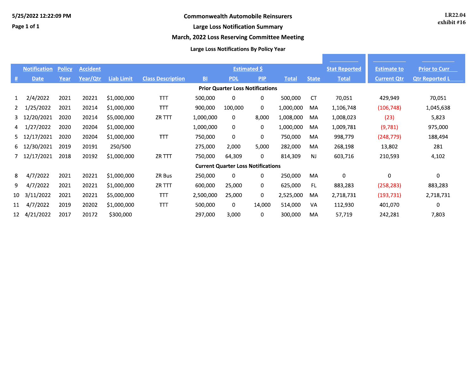<span id="page-10-0"></span>Page 1 of 1

### **Large Loss Notification Summary**

### March, 2022 Loss Reserving Committee Meeting

### **Large Loss Notifications By Policy Year**

|                                         | <b>Notification</b> | <b>Policy</b> | <b>Accident</b> |                   |                          |                          | <b>Estimated \$</b>                       |             |              |              | <b>Stat Reported</b> | <b>Estimate to</b> | <b>Prior to Curr</b>  |
|-----------------------------------------|---------------------|---------------|-----------------|-------------------|--------------------------|--------------------------|-------------------------------------------|-------------|--------------|--------------|----------------------|--------------------|-----------------------|
| 坓                                       | <b>Date</b>         | Year          | Year/Qtr        | <b>Liab Limit</b> | <b>Class Description</b> | $\underline{\mathbf{B}}$ | <b>PDL</b>                                | PIP         | <b>Total</b> | <b>State</b> | <b>Total</b>         | <b>Current Qtr</b> | <b>Qtr Reported L</b> |
| <b>Prior Quarter Loss Notifications</b> |                     |               |                 |                   |                          |                          |                                           |             |              |              |                      |                    |                       |
| $\mathbf{1}$                            | 2/4/2022            | 2021          | 20221           | \$1,000,000       | <b>TTT</b>               | 500,000                  | 0                                         | 0           | 500,000      | <b>CT</b>    | 70,051               | 429,949            | 70,051                |
| 2                                       | 1/25/2022           | 2021          | 20214           | \$1,000,000       | <b>TTT</b>               | 900,000                  | 100,000                                   | $\mathbf 0$ | 1,000,000    | MA           | 1,106,748            | (106, 748)         | 1,045,638             |
|                                         | 3 12/20/2021        | 2020          | 20214           | \$5,000,000       | ZR TTT                   | 1,000,000                | 0                                         | 8,000       | 1,008,000    | MA           | 1,008,023            | (23)               | 5,823                 |
|                                         | 4 1/27/2022         | 2020          | 20204           | \$1,000,000       |                          | 1,000,000                | 0                                         | 0           | 1,000,000    | MA           | 1,009,781            | (9,781)            | 975,000               |
|                                         | 5 12/17/2021        | 2020          | 20204           | \$1,000,000       | <b>TTT</b>               | 750,000                  | 0                                         | 0           | 750,000      | MA           | 998,779              | (248, 779)         | 188,494               |
|                                         | 6 12/30/2021        | 2019          | 20191           | 250/500           |                          | 275,000                  | 2,000                                     | 5,000       | 282,000      | MA           | 268,198              | 13,802             | 281                   |
|                                         | 7 12/17/2021        | 2018          | 20192           | \$1,000,000       | ZR TTT                   | 750,000                  | 64,309                                    | 0           | 814,309      | <b>NJ</b>    | 603,716              | 210,593            | 4,102                 |
|                                         |                     |               |                 |                   |                          |                          | <b>Current Quarter Loss Notifications</b> |             |              |              |                      |                    |                       |
| 8                                       | 4/7/2022            | 2021          | 20221           | \$1,000,000       | ZR Bus                   | 250,000                  | 0                                         | 0           | 250,000      | MA           | $\Omega$             | 0                  | $\mathbf 0$           |
| 9.                                      | 4/7/2022            | 2021          | 20221           | \$1,000,000       | ZR TTT                   | 600,000                  | 25,000                                    | 0           | 625,000      | FL           | 883,283              | (258, 283)         | 883,283               |
| 10                                      | 3/11/2022           | 2021          | 20221           | \$5,000,000       | <b>TTT</b>               | 2,500,000                | 25,000                                    | 0           | 2,525,000    | MA           | 2,718,731            | (193, 731)         | 2,718,731             |
| 11                                      | 4/7/2022            | 2019          | 20202           | \$1,000,000       | <b>TTT</b>               | 500,000                  | 0                                         | 14,000      | 514,000      | VA           | 112,930              | 401,070            | $\mathbf 0$           |
| 12                                      | 4/21/2022           | 2017          | 20172           | \$300,000         |                          | 297,000                  | 3,000                                     | 0           | 300,000      | MA           | 57,719               | 242,281            | 7,803                 |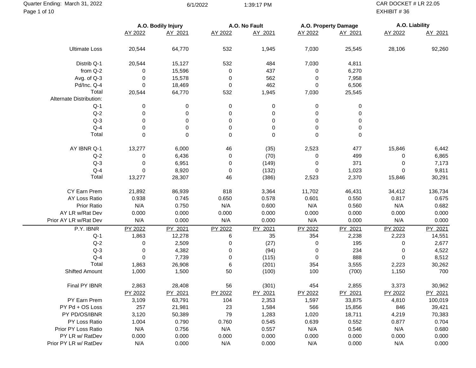<span id="page-11-0"></span>Page 1 of 10 Quarter Ending: March 31, 2022 6/1/2022 6/1/2022 6/1/2022 1:39:17 PM CAR DOCKET # LR 22.05

EXHIBIT # 36

|                         | A.O. Bodily Injury |         |             | A.O. No Fault |         | A.O. Property Damage | A.O. Liability |         |
|-------------------------|--------------------|---------|-------------|---------------|---------|----------------------|----------------|---------|
|                         | AY 2022            | AY 2021 | AY 2022     | AY 2021       | AY 2022 | AY 2021              | AY 2022        | AY 2021 |
|                         |                    |         |             |               |         |                      |                |         |
| <b>Ultimate Loss</b>    | 20,544             | 64,770  | 532         | 1,945         | 7,030   | 25,545               | 28,106         | 92,260  |
| Distrib Q-1             | 20,544             | 15,127  | 532         | 484           | 7,030   | 4,811                |                |         |
| from Q-2                | 0                  | 15,596  | 0           | 437           | 0       | 6,270                |                |         |
| Avg. of Q-3             | 0                  | 15,578  | 0           | 562           | 0       | 7,958                |                |         |
| Pd/Inc. Q-4             | 0                  | 18,469  | 0           | 462           | 0       | 6,506                |                |         |
| Total                   | 20,544             | 64,770  | 532         | 1,945         | 7,030   | 25,545               |                |         |
| Alternate Distribution: |                    |         |             |               |         |                      |                |         |
| $Q-1$                   | 0                  | 0       | 0           | 0             | 0       | 0                    |                |         |
| $Q-2$                   | 0                  | 0       | 0           | 0             | 0       | 0                    |                |         |
| $Q-3$                   | 0                  | 0       | 0           | 0             | 0       | 0                    |                |         |
| $Q-4$                   | 0                  | 0       | 0           | $\mathbf 0$   | 0       | 0                    |                |         |
| Total                   | 0                  | 0       | $\mathbf 0$ | $\mathbf 0$   | 0       | $\,0\,$              |                |         |
| AY IBNR Q-1             | 13,277             | 6,000   | 46          | (35)          | 2,523   | 477                  | 15,846         | 6,442   |
| $Q-2$                   | 0                  | 6,436   | 0           | (70)          | 0       | 499                  | 0              | 6,865   |
| $Q-3$                   | 0                  | 6,951   | 0           | (149)         | 0       | 371                  | 0              | 7,173   |
| $Q-4$                   | 0                  | 8,920   | 0           | (132)         | 0       | 1,023                | 0              | 9,811   |
| Total                   | 13,277             | 28,307  | 46          | (386)         | 2,523   | 2,370                | 15,846         | 30,291  |
|                         |                    |         |             |               |         |                      |                |         |
| CY Earn Prem            | 21,892             | 86,939  | 818         | 3,364         | 11,702  | 46,431               | 34,412         | 136,734 |
| AY Loss Ratio           | 0.938              | 0.745   | 0.650       | 0.578         | 0.601   | 0.550                | 0.817          | 0.675   |
| Prior Ratio             | N/A                | 0.750   | N/A         | 0.600         | N/A     | 0.560                | N/A            | 0.682   |
| AY LR w/Rat Dev         | 0.000              | 0.000   | 0.000       | 0.000         | 0.000   | 0.000                | 0.000          | 0.000   |
| Prior AY LR w/Rat Dev   | N/A                | 0.000   | N/A         | 0.000         | N/A     | 0.000                | N/A            | 0.000   |
| P.Y. IBNR               | PY 2022            | PY 2021 | PY 2022     | PY 2021       | PY 2022 | PY 2021              | PY 2022        | PY 2021 |
| $Q-1$                   | 1,863              | 12,278  | 6           | 35            | 354     | 2,238                | 2,223          | 14,551  |
| $Q-2$                   | 0                  | 2,509   | 0           | (27)          | 0       | 195                  | 0              | 2,677   |
| $Q-3$                   | 0                  | 4,382   | 0           | (94)          | 0       | 234                  | 0              | 4,522   |
| $Q-4$                   | 0                  | 7,739   | 0           | (115)         | 0       | 888                  | 0              | 8,512   |
| Total                   | 1,863              | 26,908  | 6           | (201)         | 354     | 3,555                | 2,223          | 30,262  |
| Shifted Amount          | 1,000              | 1,500   | 50          | (100)         | 100     | (700)                | 1,150          | 700     |
| Final PY IBNR           | 2,863              | 28,408  | 56          | (301)         | 454     | 2,855                | 3,373          | 30,962  |
|                         | PY 2022            | PY 2021 | PY 2022     | PY 2021       | PY 2022 | PY 2021              | PY 2022        | PY 2021 |
| PY Earn Prem            | 3,109              | 63,791  | 104         | 2,353         | 1,597   | 33,875               | 4,810          | 100,019 |
| PY Pd + OS Loss         | 257                | 21,981  | 23          | 1,584         | 566     | 15,856               | 846            | 39,421  |
| PY PD/OS/IBNR           | 3,120              | 50,389  | 79          | 1,283         | 1,020   | 18,711               | 4,219          | 70,383  |
| PY Loss Ratio           | 1.004              | 0.790   | 0.760       | 0.545         | 0.639   | 0.552                | 0.877          | 0.704   |
| Prior PY Loss Ratio     | N/A                | 0.756   | N/A         | 0.557         | N/A     | 0.546                | N/A            | 0.680   |
| PY LR w/ RatDev         | 0.000              | 0.000   | 0.000       | 0.000         | 0.000   | 0.000                | 0.000          | 0.000   |
| Prior PY LR w/ RatDev   | N/A                | 0.000   | N/A         | 0.000         | N/A     | 0.000                | N/A            | 0.000   |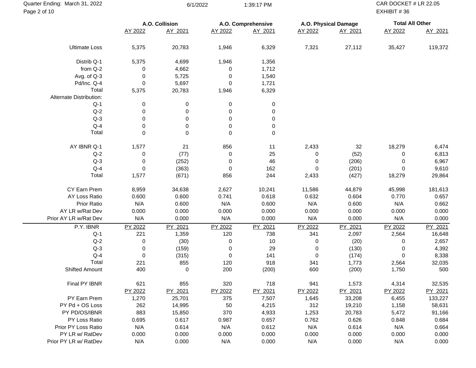| Quarter Ending: March 31, 2022<br>Page 2 of 10 |             | 6/1/2022       |                  | 1:39:17 PM         |           |                      | CAR DOCKET # LR 22.05<br>EXHIBIT #36 |         |  |
|------------------------------------------------|-------------|----------------|------------------|--------------------|-----------|----------------------|--------------------------------------|---------|--|
|                                                |             | A.O. Collision |                  | A.O. Comprehensive |           | A.O. Physical Damage | <b>Total All Other</b>               |         |  |
|                                                | AY 2022     | AY 2021        | AY 2022          | AY 2021            | AY 2022   | AY 2021              | AY 2022                              | AY 2021 |  |
| <b>Ultimate Loss</b>                           | 5,375       | 20,783         | 1,946            | 6,329              | 7,321     | 27,112               | 35,427                               | 119,372 |  |
| Distrib Q-1                                    | 5,375       | 4,699          | 1,946            | 1,356              |           |                      |                                      |         |  |
| from Q-2                                       | 0           | 4,662          | 0                | 1,712              |           |                      |                                      |         |  |
| Avg. of Q-3                                    | 0           | 5,725          | 0                | 1,540              |           |                      |                                      |         |  |
| Pd/Inc. Q-4                                    | 0           | 5,697          | 0                | 1,721              |           |                      |                                      |         |  |
| Total                                          | 5,375       | 20,783         | 1,946            | 6,329              |           |                      |                                      |         |  |
| Alternate Distribution:                        |             |                |                  |                    |           |                      |                                      |         |  |
| $Q-1$                                          | 0           | 0              | 0                | 0                  |           |                      |                                      |         |  |
| $Q-2$                                          | 0           | 0              | 0                | 0                  |           |                      |                                      |         |  |
| $Q-3$                                          | 0           | 0              | 0                | 0                  |           |                      |                                      |         |  |
| $Q-4$                                          | 0           | 0              | 0                | 0                  |           |                      |                                      |         |  |
| Total                                          | $\mathbf 0$ | 0              | $\boldsymbol{0}$ | 0                  |           |                      |                                      |         |  |
|                                                |             |                |                  |                    |           |                      |                                      |         |  |
| AY IBNR Q-1                                    | 1,577       | 21             | 856              | 11                 | 2,433     | 32                   | 18,279                               | 6,474   |  |
| $Q-2$                                          | 0           | (77)           | 0                | 25                 | 0         | (52)                 | 0                                    | 6,813   |  |
| $Q-3$                                          | 0           | (252)          | 0                | 46                 | 0         | (206)                | 0                                    | 6,967   |  |
| $Q-4$                                          | 0           | (363)          | 0                | 162                | 0         | (201)                | 0                                    | 9,610   |  |
| Total                                          | 1,577       | (671)          | 856              | 244                | 2,433     | (427)                | 18,279                               | 29,864  |  |
| CY Earn Prem                                   | 8,959       | 34,638         | 2,627            | 10,241             | 11,586    | 44,879               | 45,998                               | 181,613 |  |
| AY Loss Ratio                                  | 0.600       | 0.600          | 0.741            | 0.618              | 0.632     | 0.604                | 0.770                                | 0.657   |  |
| Prior Ratio                                    | N/A         | 0.600          | N/A              | 0.600              | N/A       | 0.600                | N/A                                  | 0.662   |  |
| AY LR w/Rat Dev                                | 0.000       | 0.000          | 0.000            | 0.000              | 0.000     | 0.000                | 0.000                                | 0.000   |  |
|                                                |             |                |                  |                    |           |                      |                                      |         |  |
| Prior AY LR w/Rat Dev                          | N/A         | 0.000          | N/A              | 0.000              | N/A       | 0.000                | N/A                                  | 0.000   |  |
| P.Y. IBNR                                      | PY 2022     | PY 2021        | PY 2022          | PY 2021            | PY 2022   | PY 2021              | PY 2022                              | PY 2021 |  |
| $Q-1$                                          | 221         | 1,359          | 120              | 738                | 341       | 2,097                | 2,564                                | 16,648  |  |
| $Q-2$                                          | 0           | (30)           | 0                | 10                 | 0         | (20)                 | 0                                    | 2,657   |  |
| $Q-3$                                          | 0           | (159)          | 0                | 29                 | 0         | (130)                | 0                                    | 4,392   |  |
| $Q-4$                                          | $\mathbf 0$ | (315)          | 0                | 141                | $\pmb{0}$ | (174)                | 0                                    | 8,338   |  |
| Total                                          | 221         | 855            | 120              | 918                | 341       | 1,773                | 2,564                                | 32,035  |  |
| Shifted Amount                                 | 400         | 0              | 200              | (200)              | 600       | (200)                | 1,750                                | 500     |  |
| Final PY IBNR                                  | 621         | 855            | 320              | 718                | 941       | 1,573                | 4,314                                | 32,535  |  |
|                                                | PY 2022     | PY 2021        | PY 2022          | PY 2021            | PY 2022   | PY 2021              | PY 2022                              | PY 2021 |  |
| PY Earn Prem                                   | 1,270       | 25,701         | 375              | 7,507              | 1,645     | 33,208               | 6,455                                | 133,227 |  |
| PY Pd + OS Loss                                | 262         | 14,995         | 50               | 4,215              | 312       | 19,210               | 1,158                                | 58,631  |  |
| PY PD/OS/IBNR                                  | 883         | 15,850         | 370              | 4,933              | 1,253     | 20,783               | 5,472                                | 91,166  |  |
| PY Loss Ratio                                  | 0.695       | 0.617          | 0.987            | 0.657              | 0.762     | 0.626                | 0.848                                | 0.684   |  |
| Prior PY Loss Ratio                            | N/A         | 0.614          | N/A              | 0.612              | N/A       | 0.614                | N/A                                  | 0.664   |  |
| PY LR w/ RatDev                                | 0.000       | 0.000          | 0.000            | 0.000              | 0.000     | 0.000                | 0.000                                | 0.000   |  |
| Prior PY LR w/ RatDev                          | N/A         | 0.000          | N/A              | 0.000              | N/A       | 0.000                | N/A                                  | 0.000   |  |
|                                                |             |                |                  |                    |           |                      |                                      |         |  |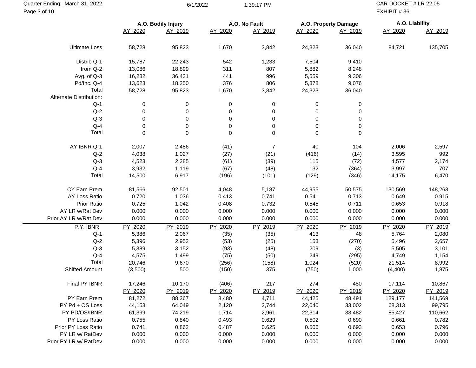Page 3 of 10 Quarter Ending: March 31, 2022 6/1/2022 6/1/2022 6/1/2022 1:39:17 PM CAR DOCKET # LR 22.05

EXHIBIT # 36

|                         | A.O. Bodily Injury |             |             | A.O. No Fault |             | A.O. Property Damage | A.O. Liability |         |  |
|-------------------------|--------------------|-------------|-------------|---------------|-------------|----------------------|----------------|---------|--|
|                         | AY 2020            | AY 2019     | AY 2020     | AY 2019       | AY 2020     | AY 2019              | AY 2020        | AY 2019 |  |
| <b>Ultimate Loss</b>    | 58,728             | 95,823      | 1,670       | 3,842         | 24,323      | 36,040               | 84,721         | 135,705 |  |
| Distrib Q-1             | 15,787             | 22,243      | 542         | 1,233         | 7,504       | 9,410                |                |         |  |
| from Q-2                | 13,086             | 18,899      | 311         | 807           | 5,882       | 8,248                |                |         |  |
| Avg. of Q-3             | 16,232             | 36,431      | 441         | 996           | 5,559       | 9,306                |                |         |  |
| Pd/Inc. Q-4             | 13,623             | 18,250      | 376         | 806           | 5,378       | 9,076                |                |         |  |
| Total                   | 58,728             | 95,823      | 1,670       | 3,842         | 24,323      | 36,040               |                |         |  |
| Alternate Distribution: |                    |             |             |               |             |                      |                |         |  |
| $Q-1$                   | 0                  | 0           | 0           | 0             | 0           | $\pmb{0}$            |                |         |  |
| $Q-2$                   | 0                  | 0           | 0           | 0             | 0           | $\pmb{0}$            |                |         |  |
| $Q-3$                   | 0                  | 0           | 0           | 0             | 0           | $\,0\,$              |                |         |  |
| $Q - 4$                 | 0                  | 0           | 0           | 0             | 0           | $\,0\,$              |                |         |  |
| Total                   | $\mathbf 0$        | $\mathbf 0$ | $\mathbf 0$ | $\mathbf 0$   | $\mathbf 0$ | $\mathbf 0$          |                |         |  |
| AY IBNR Q-1             | 2,007              | 2,486       | (41)        | 7             | 40          | 104                  | 2,006          | 2,597   |  |
| $Q-2$                   | 4,038              | 1,027       | (27)        | (21)          | (416)       | (14)                 | 3,595          | 992     |  |
| $Q-3$                   | 4,523              | 2,285       | (61)        | (39)          | 115         | (72)                 | 4,577          | 2,174   |  |
| $Q-4$                   | 3,932              | 1,119       | (67)        | (48)          | 132         | (364)                | 3,997          | 707     |  |
| Total                   | 14,500             | 6,917       | (196)       | (101)         | (129)       | (346)                | 14,175         | 6,470   |  |
| CY Earn Prem            | 81,566             | 92,501      | 4,048       | 5,187         | 44,955      | 50,575               | 130,569        | 148,263 |  |
| AY Loss Ratio           | 0.720              | 1.036       | 0.413       | 0.741         | 0.541       | 0.713                | 0.649          | 0.915   |  |
| Prior Ratio             | 0.725              | 1.042       | 0.408       | 0.732         | 0.545       | 0.711                | 0.653          | 0.918   |  |
| AY LR w/Rat Dev         | 0.000              | 0.000       | 0.000       | 0.000         | 0.000       | 0.000                | 0.000          | 0.000   |  |
| Prior AY LR w/Rat Dev   | 0.000              | 0.000       | 0.000       | 0.000         | 0.000       | 0.000                | 0.000          | 0.000   |  |
| P.Y. IBNR               | PY 2020            | PY 2019     | PY 2020     | PY 2019       | PY 2020     | PY 2019              | PY 2020        | PY 2019 |  |
| $Q-1$                   | 5,386              | 2,067       | (35)        | (35)          | 413         | 48                   | 5,764          | 2,080   |  |
| $Q-2$                   | 5,396              | 2,952       | (53)        | (25)          | 153         | (270)                | 5,496          | 2,657   |  |
| $Q-3$                   | 5,389              | 3,152       | (93)        | (48)          | 209         | (3)                  | 5,505          | 3,101   |  |
| $Q-4$                   | 4,575              | 1,499       | (75)        | (50)          | 249         | (295)                | 4,749          | 1,154   |  |
| Total                   | 20,746             | 9,670       | (256)       | (158)         | 1,024       | (520)                | 21,514         | 8,992   |  |
| Shifted Amount          | (3,500)            | 500         | (150)       | 375           | (750)       | 1,000                | (4,400)        | 1,875   |  |
| Final PY IBNR           | 17,246             | 10,170      | (406)       | 217           | 274         | 480                  | 17,114         | 10,867  |  |
|                         | PY 2020            | PY 2019     | PY 2020     | PY 2019       | PY 2020     | PY 2019              | PY 2020        | PY 2019 |  |
| PY Earn Prem            | 81,272             | 88,367      | 3,480       | 4,711         | 44,425      | 48,491               | 129,177        | 141,569 |  |
| PY Pd + OS Loss         | 44,153             | 64,049      | 2,120       | 2,744         | 22,040      | 33,002               | 68,313         | 99,795  |  |
| PY PD/OS/IBNR           | 61,399             | 74,219      | 1,714       | 2,961         | 22,314      | 33,482               | 85,427         | 110,662 |  |
| PY Loss Ratio           | 0.755              | 0.840       | 0.493       | 0.629         | 0.502       | 0.690                | 0.661          | 0.782   |  |
| Prior PY Loss Ratio     | 0.741              | 0.862       | 0.487       | 0.625         | 0.506       | 0.693                | 0.653          | 0.796   |  |
| PY LR w/ RatDev         | 0.000              | 0.000       | 0.000       | 0.000         | 0.000       | 0.000                | 0.000          | 0.000   |  |
| Prior PY LR w/ RatDev   | 0.000              | 0.000       | 0.000       | 0.000         | 0.000       | 0.000                | 0.000          | 0.000   |  |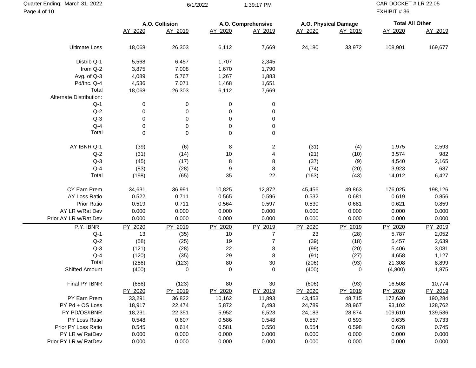**A.O. Collision A.O. Comprehensive A.O. Physical Damage Total All Other** AY 2020 AY 2019 AY 2020 AY 2019 AY 2020 AY 2019 AY 2020 AY 2019 Ultimate Loss 18,068 26,303 6,112 7,669 24,180 33,972 108,901 169,677 Distrib Q-1 5,568 6,457 1,707 2,345 from Q-2 3,875 7,008 1,670 1,790 Avg. of Q-3 4,089 5,767 1,267 1,883 Pd/Inc. Q-4 4,536 7,071 1,468 1,651 Total 18,068 26,303 6,112 7,669 Alternate Distribution: Q-1 0 0 0 0 0 Q-2 0 0 0 0 0 Q-3 0 0 0 0 0 Q-4 0 0 0 0 0 Total 0 0 0 0 AY IBNR Q-1 (39) (6) 8 2 (31) (4) 1,975 2,593 Q-2 (31) (14) 10 4 (21) (10) 3,574 982 Q-3 (45) (17) 8 8 (37) (9) 4,540 2,165 Q-4 (83) (28) 9 8 (74) (20) 3,923 687 Total (198) (65) 35 22 (163) (43) 14,012 6,427 CY Earn Prem 34,631 36,991 10,825 12,872 45,456 49,863 176,025 198,126 AY Loss Ratio 0.522 0.711 0.565 0.596 0.532 0.681 0.619 0.856 Prior Ratio 0.519 0.711 0.564 0.597 0.530 0.681 0.621 0.859 AY LR w/Rat Dev 0.000 0.000 0.000 0.000 0.000 0.000 0.000 0.000 Prior AY LR w/Rat Dev 0.000 0.000 0.000 0.000 0.000 0.000 0.000 0.000 0.000 0.000 P.Y. IBNR <u>PY 2020</u> <u>PY 2019</u> <u>PY 2020</u> <u>PY 2019</u> <u>PY 2019</u> <u>PY 2019</u> <u>PY 2019</u> Q-1 13 (35) 10 7 23 (28) 5,787 2,052 Q-2 (58) (25) 19 7 (39) (18) 5,457 2,639 Q-3 (121) (28) 22 8 (99) (20) 5,406 3,081 Q-4 (120) (35) 29 8 (91) (27) 4,658 1,127 Total (286) (123) 80 30 (206) (93) 21,308 8,899 Shifted Amount (400) 0 0 0 (400) 0 (4,800) 1,875 Final PY IBNR (686) (123) 80 30 (606) (93) 16,508 10,774 PY 2020 PY 2019 PY 2020 PY 2019 PY 2020 PY 2019 PY 2020 PY 2019 PY Earn Prem 33,291 36,822 10,162 11,893 43,453 48,715 172,630 190,284 PY Pd + OS Loss 18,917 22,474 5,872 6,493 24,789 28,967 93,102 128,762 PY PD/OS/IBNR 18,231 22,351 5,952 6,523 24,183 28,874 109,610 139,536 PY Loss Ratio 0.548 0.607 0.586 0.548 0.557 0.593 0.635 0.733 Prior PY Loss Ratio 0.545 0.614 0.581 0.550 0.554 0.598 0.628 0.745 PY LR w/ RatDev 0.000 0.000 0.000 0.000 0.000 0.000 0.000 Prior PY LR w/ RatDev 0.000 0.000 0.000 0.000 0.000 0.000 0.000 0.000 0.000 0.000 Page 4 of 10 EXHIBIT # 36

Quarter Ending: March 31, 2022 6/1/2022 6/1/2022 6/1/2022 6/1/2021 6/1/2022 CAR DOCKET # LR 22.05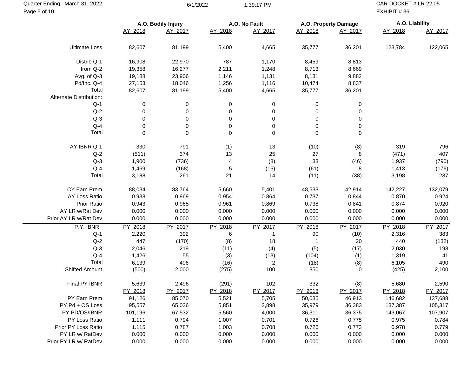**A.O. Bodily Injury A.O. No Fault A.O. Property Damage A.O. Liability** AY 2018 AY 2017 AY 2018 AY 2017 AY 2018 AY 2017 AY 2018 AY 2017 Ultimate Loss 82,607 81,199 5,400 4,665 35,777 36,201 123,784 122,065 Distrib Q-1 16,908 22,970 787 1,170 8,459 8,813 from Q-2 19,358 16,277 2,211 1,248 8,713 8,669 Avg. of Q-3 19,188 23,906 1,146 1,131 8,131 9,882 Pd/Inc. Q-4 27,153 18,046 1,256 1,116 10,474 8,837 Total 82,607 81,199 5,400 4,665 35,777 36,201 Alternate Distribution: Q-1 0 0 0 0 0 0 0 Q-2 0 0 0 0 0 0 0 Q-3 0 0 0 0 0 0 0 Q-4 0 0 0 0 0 0 0 Total 0 0 0 0 0 0 AY IBNR Q-1 330 791 (1) 13 (10) (8) 319 796 Q-2 (511) 374 13 25 27 8 (471) 407 Q-3 1,900 (736) 4 (8) 33 (46) 1,937 (790) Q-4 1,469 (168) 5 (16) (61) 8 1,413 (176) Total 3,188 261 21 14 (11) (38) 3,198 237 CY Earn Prem 88,034 83,764 5,660 5,401 48,533 42,914 142,227 132,079 AY Loss Ratio 0.938 0.969 0.954 0.864 0.737 0.844 0.870 0.924 Prior Ratio 0.943 0.965 0.961 0.869 0.738 0.841 0.874 0.920 AY LR w/Rat Dev 0.000 0.000 0.000 0.000 0.000 0.000 0.000 0.000 Prior AY LR w/Rat Dev 0.000 0.000 0.000 0.000 0.000 0.000 0.000 0.000 0.000 0.000 P.Y. IBNR <u>PY 2018</u> <u>PY 2017</u> <u>PY 2018</u> <u>PY 2017</u> <u>PY 2017</u> <u>PY 2018</u> <u>PY 2017</u> Q-1 2,220 392 6 1 90 (10) 2,316 383 Q-2 447 (170) (8) 18 1 20 440 (132) Q-3 2,046 219 (11) (4) (5) (17) 2,030 198 Q-4 1,426 55 (3) (13) (104) (1) 1,319 41 Total 6,139 496 (16) 2 (18) (8) 6,105 490 Shifted Amount (500) 2,000 (275) 100 350 0 (425) 2,100 Final PY IBNR 5,639 2,496 (291) 102 332 (8) 5,680 2,590 PY 2018 PY 2017 PY 2018 PY 2017 PY 2018 PY 2017 PY 2018 PY 2017 PY Earn Prem 91,126 85,070 5,521 5,705 50,035 46,913 146,682 137,688 PY Pd + OS Loss 95,557 65,036 5,851 3,898 35,979 36,383 137,387 105,317 PY PD/OS/IBNR 101,196 67,532 5,560 4,000 36,311 36,375 143,067 107,907 PY Loss Ratio 1.111 0.794 1.007 0.701 0.726 0.775 0.975 0.784 Prior PY Loss Ratio 1.115 0.787 1.003 0.708 0.726 0.773 0.978 0.779 PY LR w/ RatDev 0.000 0.000 0.000 0.000 0.000 0.000 0.000 Prior PY LR w/ RatDev 0.000 0.000 0.000 0.000 0.000 0.000 0.000 0.000 0.000 0.000 Page 5 of 10 EXHIBIT # 36

Quarter Ending: March 31, 2022 **1:39:17 PM** CAR DOCKET # LR 22.05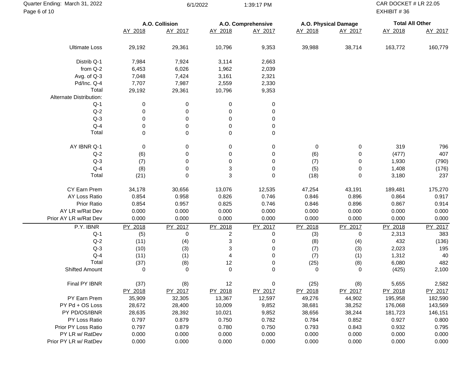| Quarter Ending: March 31, 2022<br>Page 6 of 10 |             | 6/1/2022       |          | 1:39:17 PM         |         |                      | CAR DOCKET # LR 22.05<br>EXHIBIT #36 |         |
|------------------------------------------------|-------------|----------------|----------|--------------------|---------|----------------------|--------------------------------------|---------|
|                                                |             | A.O. Collision |          | A.O. Comprehensive |         | A.O. Physical Damage | <b>Total All Other</b>               |         |
|                                                | AY 2018     | AY 2017        | AY 2018  | AY 2017            | AY 2018 | AY 2017              | AY 2018                              | AY 2017 |
| <b>Ultimate Loss</b>                           | 29,192      | 29,361         | 10,796   | 9,353              | 39,988  | 38,714               | 163,772                              | 160,779 |
| Distrib Q-1                                    | 7,984       | 7,924          | 3,114    | 2,663              |         |                      |                                      |         |
| from Q-2                                       | 6,453       | 6,026          | 1,962    | 2,039              |         |                      |                                      |         |
| Avg. of Q-3                                    | 7,048       | 7,424          | 3,161    | 2,321              |         |                      |                                      |         |
| Pd/Inc. Q-4                                    | 7,707       | 7,987          | 2,559    | 2,330              |         |                      |                                      |         |
| Total                                          | 29,192      | 29,361         | 10,796   | 9,353              |         |                      |                                      |         |
| Alternate Distribution:                        |             |                |          |                    |         |                      |                                      |         |
| $Q-1$                                          | 0           | 0              | 0        | 0                  |         |                      |                                      |         |
| $Q-2$                                          | 0           | 0              | 0        | 0                  |         |                      |                                      |         |
| $Q-3$                                          | 0           | 0              | 0        | 0                  |         |                      |                                      |         |
| $Q-4$                                          | 0           | 0              | 0        | 0                  |         |                      |                                      |         |
| Total                                          | $\mathbf 0$ | 0              | 0        | 0                  |         |                      |                                      |         |
| AY IBNR Q-1                                    | 0           | 0              | 0        | 0                  | 0       | 0                    | 319                                  | 796     |
| $Q-2$                                          | (6)         | 0              | 0        | 0                  | (6)     | 0                    | (477)                                | 407     |
| $Q-3$                                          | (7)         | 0              | 0        | 0                  | (7)     | 0                    | 1,930                                | (790)   |
| $Q-4$                                          | (8)         | 0              | 3        | 0                  | (5)     | 0                    | 1,408                                | (176)   |
| Total                                          | (21)        | 0              | 3        | 0                  | (18)    | 0                    | 3,180                                | 237     |
| CY Earn Prem                                   | 34,178      | 30,656         | 13,076   | 12,535             | 47,254  | 43,191               | 189,481                              | 175,270 |
| AY Loss Ratio                                  | 0.854       | 0.958          | 0.826    | 0.746              | 0.846   | 0.896                | 0.864                                | 0.917   |
| Prior Ratio                                    | 0.854       | 0.957          | 0.825    | 0.746              | 0.846   | 0.896                | 0.867                                | 0.914   |
| AY LR w/Rat Dev                                | 0.000       | 0.000          | 0.000    | 0.000              | 0.000   | 0.000                | 0.000                                | 0.000   |
| Prior AY LR w/Rat Dev                          | 0.000       | 0.000          | 0.000    | 0.000              | 0.000   | 0.000                | 0.000                                | 0.000   |
| P.Y. IBNR                                      | PY 2018     | PY 2017        | PY 2018  | PY 2017            | PY 2018 | PY 2017              | PY 2018                              | PY 2017 |
| $Q-1$                                          | (5)         | 0              | 2        | 0                  | (3)     | 0                    | 2,313                                | 383     |
| $Q-2$                                          | (11)        | (4)            | 3        | 0                  | (8)     | (4)                  | 432                                  | (136)   |
| $Q-3$                                          | (10)        | (3)            | 3        | 0                  | (7)     | (3)                  | 2,023                                | 195     |
| $Q - 4$                                        | (11)        | (1)            | 4        | 0                  | (7)     | (1)                  | 1,312                                | 40      |
| Total                                          | (37)        | (8)            | 12       | 0                  | (25)    | (8)                  | 6,080                                | 482     |
| Shifted Amount                                 | 0           | 0              | $\Omega$ | 0                  | 0       | 0                    | (425)                                | 2,100   |
| Final PY IBNR                                  | (37)        | (8)            | 12       | $\pmb{0}$          | (25)    | (8)                  | 5,655                                | 2,582   |
|                                                | PY 2018     | PY 2017        | PY 2018  | PY 2017            | PY 2018 | PY 2017              | PY 2018                              | PY 2017 |
| PY Earn Prem                                   | 35,909      | 32,305         | 13,367   | 12,597             | 49,276  | 44,902               | 195,958                              | 182,590 |
| PY Pd + OS Loss                                | 28,672      | 28,400         | 10,009   | 9,852              | 38,681  | 38,252               | 176,068                              | 143,569 |
| PY PD/OS/IBNR                                  | 28,635      | 28,392         | 10,021   | 9,852              | 38,656  | 38,244               | 181,723                              | 146,151 |
| PY Loss Ratio                                  | 0.797       | 0.879          | 0.750    | 0.782              | 0.784   | 0.852                | 0.927                                | 0.800   |
| Prior PY Loss Ratio                            | 0.797       | 0.879          | 0.780    | 0.750              | 0.793   | 0.843                | 0.932                                | 0.795   |
| PY LR w/ RatDev                                | 0.000       | 0.000          | 0.000    | 0.000              | 0.000   | 0.000                | 0.000                                | 0.000   |
| Prior PY LR w/ RatDev                          | 0.000       | 0.000          | 0.000    | 0.000              | 0.000   | 0.000                | 0.000                                | 0.000   |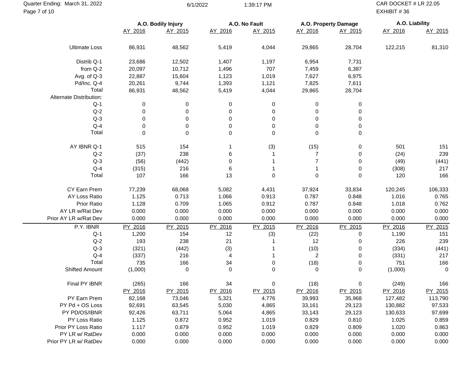**A.O. Bodily Injury A.O. No Fault A.O. Property Damage A.O. Liability** AY 2016 AY 2015 AY 2016 AY 2015 AY 2016 AY 2015 AY 2016 AY 2015 Ultimate Loss 86,931 48,562 5,419 4,044 29,865 28,704 122,215 81,310 Distrib Q-1 23,686 12,502 1,407 1,197 6,954 7,731 from Q-2 20,097 10,712 1,496 707 7,459 6,387 Avg. of Q-3 22,887 15,604 1,123 1,019 7,627 6,975 Pd/Inc. Q-4 20,261 9,744 1,393 1,121 7,825 7,611 Total 86,931 48,562 5,419 4,044 29,865 28,704 Alternate Distribution: Q-1 0 0 0 0 0 0 0 Q-2 0 0 0 0 0 0 0 Q-3 0 0 0 0 0 0 0 Q-4 0 0 0 0 0 0 0 Total 0 0 0 0 0 0 AY IBNR Q-1 515 154 1 (3) (15) 0 501 151 Q-2 (37) 238 6 1 7 0 (24) 239 Q-3 (56) (442) 0 1 7 0 (49) (441) Q-4 (315) 216 6 1 1 0 (308) 217 Total 107 166 13 0 0 0 120 166 CY Earn Prem 77,239 68,068 5,082 4,431 37,924 33,834 120,245 106,333 AY Loss Ratio 1.125 0.713 1.066 0.913 0.787 0.848 1.016 0.765 Prior Ratio 1.128 0.709 1.065 0.912 0.787 0.848 1.018 0.762 AY LR w/Rat Dev 0.000 0.000 0.000 0.000 0.000 0.000 0.000 0.000 Prior AY LR w/Rat Dev 0.000 0.000 0.000 0.000 0.000 0.000 0.000 0.000 0.000 0.000 P.Y. IBNR <u>PY 2016</u> <u>PY 2015</u> <u>PY 2016</u> <u>PY 2015</u> <u>PY 2016</u> PY 2015 PY 2015 Q-1 1,200 154 12 (3) (22) 0 1,190 151 Q-2 193 238 21 1 12 0 226 239 Q-3 (321) (442) (3) 1 (10) 0 (334) (441) Q-4 (337) 216 4 1 2 0 (331) 217 Total 735 166 34 0 (18) 0 751 166 Shifted Amount (1,000) 0 0 0 0 0 (1,000) 0 Final PY IBNR (265) 166 34 0 (18) 0 (249) 166 PY 2016 PY 2015 PY 2016 PY 2015 PY 2016 PY 2015 PY 2016 PY 2015 PY Earn Prem 82,168 73,046 5,321 4,776 39,993 35,968 127,482 113,790 PY Pd + OS Loss 92,691 63,545 5,030 4,865 33,161 29,123 130,882 97,533 PY PD/OS/IBNR 92,426 63,711 5,064 4,865 33,143 29,123 130,633 97,699 PY Loss Ratio 1.125 0.872 0.952 1.019 0.829 0.810 1.025 0.859 Prior PY Loss Ratio 1.117 0.879 0.952 1.019 0.829 0.809 1.020 0.863 PY LR w/ RatDev 0.000 0.000 0.000 0.000 0.000 0.000 0.000 Prior PY LR w/ RatDev 0.000 0.000 0.000 0.000 0.000 0.000 0.000 0.000 0.000 0.000 Page 7 of 10 EXHIBIT # 36

Quarter Ending: March 31, 2022 **1:39:17 PM** CAR DOCKET # LR 22.05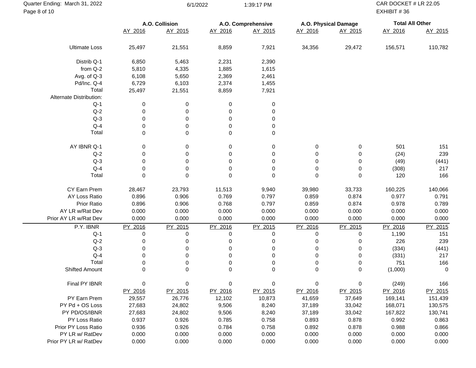| Quarter Ending: March 31, 2022<br>Page 8 of 10 |             | 6/1/2022       |         | 1:39:17 PM         |          |                      | CAR DOCKET # LR 22.05<br>EXHIBIT #36 |             |
|------------------------------------------------|-------------|----------------|---------|--------------------|----------|----------------------|--------------------------------------|-------------|
|                                                |             | A.O. Collision |         | A.O. Comprehensive |          | A.O. Physical Damage | <b>Total All Other</b>               |             |
|                                                | AY 2016     | AY 2015        | AY 2016 | AY 2015            | AY 2016  | AY 2015              | AY 2016                              | AY 2015     |
| <b>Ultimate Loss</b>                           | 25,497      | 21,551         | 8,859   | 7,921              | 34,356   | 29,472               | 156,571                              | 110,782     |
| Distrib Q-1                                    | 6,850       | 5,463          | 2,231   | 2,390              |          |                      |                                      |             |
| from Q-2                                       | 5,810       | 4,335          | 1,885   | 1,615              |          |                      |                                      |             |
| Avg. of Q-3                                    | 6,108       | 5,650          | 2,369   | 2,461              |          |                      |                                      |             |
| Pd/Inc. Q-4                                    | 6,729       | 6,103          | 2,374   | 1,455              |          |                      |                                      |             |
| Total                                          | 25,497      | 21,551         | 8,859   | 7,921              |          |                      |                                      |             |
| Alternate Distribution:                        |             |                |         |                    |          |                      |                                      |             |
| $Q-1$                                          | 0           | 0              | 0       | 0                  |          |                      |                                      |             |
| $Q-2$                                          | 0           | 0              | 0       | 0                  |          |                      |                                      |             |
| $Q-3$                                          | 0           | 0              | 0       | 0                  |          |                      |                                      |             |
| $Q-4$                                          | 0           | 0              | 0       | 0                  |          |                      |                                      |             |
| Total                                          | $\mathbf 0$ | 0              | 0       | 0                  |          |                      |                                      |             |
| AY IBNR Q-1                                    | 0           | 0              | 0       | 0                  | 0        | 0                    | 501                                  | 151         |
| $Q-2$                                          | 0           | 0              | 0       | 0                  | 0        | 0                    | (24)                                 | 239         |
| $Q-3$                                          | 0           | 0              | 0       | 0                  | 0        | 0                    | (49)                                 | (441)       |
| $Q-4$                                          | 0           | 0              | 0       | 0                  | 0        | 0                    | (308)                                | 217         |
| Total                                          | $\Omega$    | $\Omega$       | 0       | 0                  | 0        | 0                    | 120                                  | 166         |
| CY Earn Prem                                   | 28,467      | 23,793         | 11,513  | 9,940              | 39,980   | 33,733               | 160,225                              | 140,066     |
| AY Loss Ratio                                  | 0.896       | 0.906          | 0.769   | 0.797              | 0.859    | 0.874                | 0.977                                | 0.791       |
| Prior Ratio                                    | 0.896       | 0.906          | 0.768   | 0.797              | 0.859    | 0.874                | 0.978                                | 0.789       |
| AY LR w/Rat Dev                                | 0.000       | 0.000          | 0.000   | 0.000              | 0.000    | 0.000                | 0.000                                | 0.000       |
| Prior AY LR w/Rat Dev                          | 0.000       | 0.000          | 0.000   | 0.000              | 0.000    | 0.000                | 0.000                                | 0.000       |
| P.Y. IBNR                                      | PY 2016     | PY 2015        | PY 2016 | PY 2015            | PY 2016  | PY 2015              | PY 2016                              | PY 2015     |
| $Q-1$                                          | 0           | 0              | 0       | 0                  | 0        | 0                    | 1,190                                | 151         |
| $Q-2$                                          | 0           | 0              | 0       | 0                  | 0        | 0                    | 226                                  | 239         |
| $Q-3$                                          | 0           | 0              | 0       | 0                  | 0        | 0                    | (334)                                | (441)       |
| $Q-4$                                          | 0           | 0              | 0       | 0                  | 0        | 0                    | (331)                                | 217         |
| Total                                          | 0           | 0              | 0       | 0                  | 0        | 0                    | 751                                  | 166         |
| Shifted Amount                                 | $\Omega$    | $\Omega$       | 0       | 0                  | $\Omega$ | 0                    | (1,000)                              | $\mathbf 0$ |
| Final PY IBNR                                  | 0           | 0              | 0       | 0                  | 0        | $\pmb{0}$            | (249)                                | 166         |
|                                                | PY 2016     | PY 2015        | PY 2016 | PY 2015            | PY 2016  | PY 2015              | PY 2016                              | PY 2015     |
| PY Earn Prem                                   | 29,557      | 26,776         | 12,102  | 10,873             | 41,659   | 37,649               | 169,141                              | 151,439     |
| PY Pd + OS Loss                                | 27,683      | 24,802         | 9,506   | 8,240              | 37,189   | 33,042               | 168,071                              | 130,575     |
| PY PD/OS/IBNR                                  | 27,683      | 24,802         | 9,506   | 8,240              | 37,189   | 33,042               | 167,822                              | 130,741     |
| PY Loss Ratio                                  | 0.937       | 0.926          | 0.785   | 0.758              | 0.893    | 0.878                | 0.992                                | 0.863       |
| Prior PY Loss Ratio                            | 0.936       | 0.926          | 0.784   | 0.758              | 0.892    | 0.878                | 0.988                                | 0.866       |
| PY LR w/ RatDev                                | 0.000       | 0.000          | 0.000   | 0.000              | 0.000    | 0.000                | 0.000                                | 0.000       |
| Prior PY LR w/ RatDev                          | 0.000       | 0.000          | 0.000   | 0.000              | 0.000    | 0.000                | 0.000                                | 0.000       |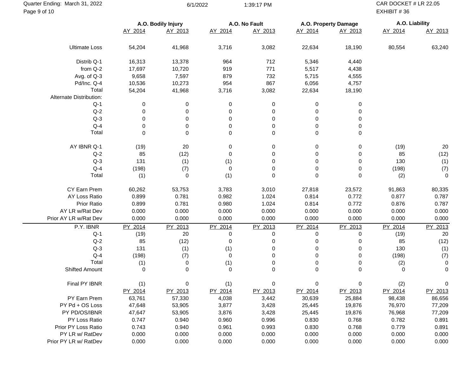**A.O. Bodily Injury A.O. No Fault A.O. Property Damage A.O. Liability** AY 2014 AY 2013 AY 2014 AY 2013 AY 2014 AY 2013 AY 2014 AY 2013 Ultimate Loss 54,204 41,968 3,716 3,082 22,634 18,190 80,554 63,240 Distrib Q-1 16,313 13,378 964 712 5,346 4,440 from Q-2 17,697 10,720 919 771 5,517 4,438 Avg. of Q-3 9,658 7,597 879 732 5,715 4,555 Pd/Inc. Q-4 10,536 10,273 954 867 6,056 4,757 Total 54,204 41,968 3,716 3,082 22,634 18,190 Alternate Distribution: Q-1 0 0 0 0 0 0 0 Q-2 0 0 0 0 0 0 0 Q-3 0 0 0 0 0 0 0 Q-4 0 0 0 0 0 0 0 Total 0 0 0 0 0 0 AY IBNR Q-1 (19) 20 0 0 0 0 (19) 20 Q-2 85 (12) 0 0 0 0 85 (12) Q-3 131 (1) (1) 0 0 0 130 (1) Q-4 (198) (7) 0 0 0 0 (198) (7) Total (1) 0 (1) 0 0 0 (2) 0 CY Earn Prem 60,262 53,753 3,783 3,010 27,818 23,572 91,863 80,335 AY Loss Ratio 0.899 0.781 0.982 1.024 0.814 0.772 0.877 0.787 Prior Ratio 0.899 0.781 0.980 1.024 0.814 0.772 0.876 0.787 AY LR w/Rat Dev 0.000 0.000 0.000 0.000 0.000 0.000 0.000 0.000 Prior AY LR w/Rat Dev 0.000 0.000 0.000 0.000 0.000 0.000 0.000 0.000 0.000 0.000 P.Y. IBNR <u>PY 2014</u> <u>PY 2013</u> <u>PY 2014</u> <u>PY 2013</u> <u>PY 2013</u> <u>PY 2014</u> <u>PY 2013</u> Q-1 (19) 20 0 0 0 0 (19) 20 Q-2 85 (12) 0 0 0 0 85 (12) Q-3 131 (1) (1) 0 0 0 130 (1) Q-4 (198) (7) 0 0 0 0 (198) (7) Total (1) 0 (1) 0 0 0 (2) 0 Shifted Amount 0 0 0 0 0 0 0 0 Final PY IBNR (1) 0 (1) 0 0 0 (2) 0 PY 2014 PY 2013 PY 2014 PY 2013 PY 2014 PY 2013 PY 2014 PY 2013 PY Earn Prem 63,761 57,330 4,038 3,442 30,639 25,884 98,438 86,656 PY Pd + OS Loss 47,648 53,905 3,877 3,428 25,445 19,876 76,970 77,209 PY PD/OS/IBNR 47,647 53,905 3,876 3,428 25,445 19,876 76,968 77,209 PY Loss Ratio 0.747 0.940 0.960 0.996 0.830 0.768 0.782 0.891 Prior PY Loss Ratio 0.743 0.940 0.961 0.993 0.830 0.768 0.779 0.891 PY LR w/ RatDev 0.000 0.000 0.000 0.000 0.000 0.000 0.000 Prior PY LR w/ RatDev 0.000 0.000 0.000 0.000 0.000 0.000 0.000 0.000 0.000 0.000 Page 9 of 10 EXHIBIT # 36

Quarter Ending: March 31, 2022 6/1/2022 6/1/2022 6/1/2022 6/1/2022 CAR DOCKET # LR 22.05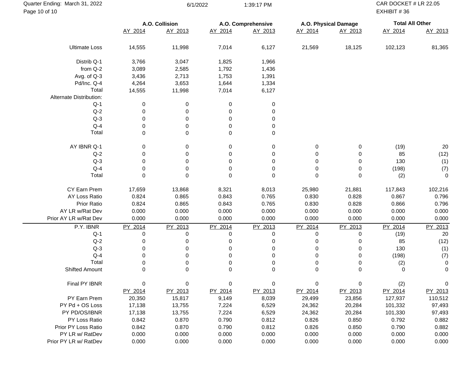| Quarter Ending: March 31, 2022<br>Page 10 of 10 |             | 6/1/2022       |         | 1:39:17 PM         |          |                      | CAR DOCKET # LR 22.05<br>EXHIBIT #36 |             |
|-------------------------------------------------|-------------|----------------|---------|--------------------|----------|----------------------|--------------------------------------|-------------|
|                                                 |             | A.O. Collision |         | A.O. Comprehensive |          | A.O. Physical Damage | <b>Total All Other</b>               |             |
|                                                 | AY 2014     | AY 2013        | AY 2014 | AY 2013            | AY 2014  | AY 2013              | AY 2014                              | AY 2013     |
| <b>Ultimate Loss</b>                            | 14,555      | 11,998         | 7,014   | 6,127              | 21,569   | 18,125               | 102,123                              | 81,365      |
| Distrib Q-1                                     | 3,766       | 3,047          | 1,825   | 1,966              |          |                      |                                      |             |
| from Q-2                                        | 3,089       | 2,585          | 1,792   | 1,436              |          |                      |                                      |             |
| Avg. of Q-3                                     | 3,436       | 2,713          | 1,753   | 1,391              |          |                      |                                      |             |
| Pd/Inc. Q-4                                     | 4,264       | 3,653          | 1,644   | 1,334              |          |                      |                                      |             |
| Total                                           | 14,555      | 11,998         | 7,014   | 6,127              |          |                      |                                      |             |
| Alternate Distribution:                         |             |                |         |                    |          |                      |                                      |             |
| $Q-1$                                           | 0           | 0              | 0       | 0                  |          |                      |                                      |             |
| $Q-2$                                           | 0           | 0              | 0       | 0                  |          |                      |                                      |             |
| $Q-3$                                           | 0           | 0              | 0       | 0                  |          |                      |                                      |             |
| $Q-4$                                           | 0           | 0              | 0       | 0                  |          |                      |                                      |             |
| Total                                           | $\mathbf 0$ | 0              | 0       | 0                  |          |                      |                                      |             |
| AY IBNR Q-1                                     | 0           | 0              | 0       | 0                  | 0        | 0                    | (19)                                 | 20          |
| $Q-2$                                           | 0           | 0              | 0       | 0                  | 0        | 0                    | 85                                   | (12)        |
| $Q-3$                                           | 0           | 0              | 0       | 0                  | 0        | 0                    | 130                                  | (1)         |
| $Q-4$                                           | 0           | 0              | 0       | 0                  | 0        | 0                    | (198)                                | (7)         |
| Total                                           | $\Omega$    | 0              | 0       | 0                  | 0        | 0                    | (2)                                  | 0           |
| CY Earn Prem                                    | 17,659      | 13,868         | 8,321   | 8,013              | 25,980   | 21,881               | 117,843                              | 102,216     |
| AY Loss Ratio                                   | 0.824       | 0.865          | 0.843   | 0.765              | 0.830    | 0.828                | 0.867                                | 0.796       |
| Prior Ratio                                     | 0.824       | 0.865          | 0.843   | 0.765              | 0.830    | 0.828                | 0.866                                | 0.796       |
| AY LR w/Rat Dev                                 | 0.000       | 0.000          | 0.000   | 0.000              | 0.000    | 0.000                | 0.000                                | 0.000       |
| Prior AY LR w/Rat Dev                           | 0.000       | 0.000          | 0.000   | 0.000              | 0.000    | 0.000                | 0.000                                | 0.000       |
| P.Y. IBNR                                       | PY 2014     | PY 2013        | PY 2014 | PY 2013            | PY 2014  | PY 2013              | PY 2014                              | PY 2013     |
| $Q-1$                                           | 0           | 0              | 0       | 0                  | 0        | 0                    | (19)                                 | 20          |
| $Q-2$                                           | 0           | 0              | 0       | 0                  | 0        | 0                    | 85                                   | (12)        |
| $Q-3$                                           | 0           | 0              | 0       | 0                  | 0        | 0                    | 130                                  | (1)         |
| $Q - 4$                                         | 0           | 0              | 0       | 0                  | 0        | 0                    | (198)                                | (7)         |
| Total                                           | 0           | 0              | 0       | 0                  | 0        | 0                    | (2)                                  | 0           |
| Shifted Amount                                  | $\Omega$    | $\Omega$       | 0       | 0                  | $\Omega$ | 0                    | $\Omega$                             | $\Omega$    |
| Final PY IBNR                                   | 0           | 0              | 0       | 0                  | 0        | $\mathbf 0$          | (2)                                  | $\mathbf 0$ |
|                                                 | PY 2014     | PY 2013        | PY 2014 | PY 2013            | PY 2014  | PY 2013              | PY 2014                              | PY 2013     |
| PY Earn Prem                                    | 20,350      | 15,817         | 9,149   | 8,039              | 29,499   | 23,856               | 127,937                              | 110,512     |
| PY Pd + OS Loss                                 | 17,138      | 13,755         | 7,224   | 6,529              | 24,362   | 20,284               | 101,332                              | 97,493      |
| PY PD/OS/IBNR                                   | 17,138      | 13,755         | 7,224   | 6,529              | 24,362   | 20,284               | 101,330                              | 97,493      |
| PY Loss Ratio                                   | 0.842       | 0.870          | 0.790   | 0.812              | 0.826    | 0.850                | 0.792                                | 0.882       |
| Prior PY Loss Ratio                             | 0.842       | 0.870          | 0.790   | 0.812              | 0.826    | 0.850                | 0.790                                | 0.882       |
| PY LR w/ RatDev                                 | 0.000       | 0.000          | 0.000   | 0.000              | 0.000    | 0.000                | 0.000                                | 0.000       |
| Prior PY LR w/ RatDev                           | 0.000       | 0.000          | 0.000   | 0.000              | 0.000    | 0.000                | 0.000                                | 0.000       |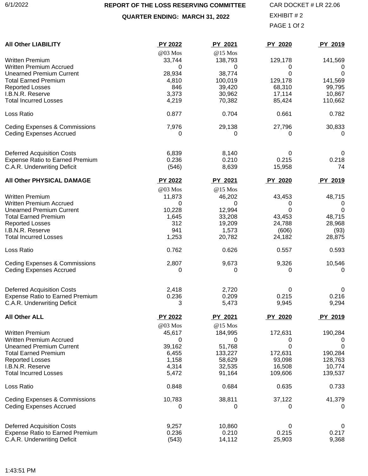### **REPORT OF THE LOSS RESERVING COMMITTEE**

### **QUARTER ENDING: MARCH 31, 2022**

PAGE 1 Of 2 CAR DOCKET # LR 22.06 EXHIBIT # 2

<span id="page-21-0"></span>

| <b>All Other LIABILITY</b>                                                 | <b>PY 2022</b>            | PY 2021                 | <b>PY 2020</b>    | PY 2019             |
|----------------------------------------------------------------------------|---------------------------|-------------------------|-------------------|---------------------|
| <b>Written Premium</b><br><b>Written Premium Accrued</b>                   | @03 Mos<br>33,744<br>0    | @15 Mos<br>138,793<br>0 | 129,178<br>0      | 141,569<br>0        |
| <b>Unearned Premium Current</b><br><b>Total Earned Premium</b>             | 28,934<br>4,810           | 38,774<br>100,019       | 0<br>129,178      | $\Omega$<br>141,569 |
| <b>Reported Losses</b>                                                     | 846                       | 39,420                  | 68,310            | 99,795              |
| I.B.N.R. Reserve                                                           | 3,373                     | 30,962                  | 17,114            | 10,867              |
| <b>Total Incurred Losses</b>                                               | 4,219                     | 70,382                  | 85,424            | 110,662             |
| Loss Ratio                                                                 | 0.877                     | 0.704                   | 0.661             | 0.782               |
| <b>Ceding Expenses &amp; Commissions</b><br><b>Ceding Expenses Accrued</b> | 7,976<br>0                | 29,138<br>0             | 27,796<br>0       | 30,833<br>0         |
|                                                                            |                           |                         |                   |                     |
| <b>Deferred Acquisition Costs</b>                                          | 6,839                     | 8,140                   | 0                 | 0                   |
| <b>Expense Ratio to Earned Premium</b><br>C.A.R. Underwriting Deficit      | 0.236<br>(546)            | 0.210<br>8,639          | 0.215<br>15,958   | 0.218<br>74         |
| All Other PHYSICAL DAMAGE                                                  | PY 2022                   | PY 2021                 | <b>PY 2020</b>    | PY 2019             |
|                                                                            | @03 Mos                   | @15 Mos                 |                   |                     |
| <b>Written Premium</b>                                                     | 11,873                    | 46,202                  | 43,453            | 48,715              |
| <b>Written Premium Accrued</b>                                             | 0                         | 0                       | 0                 | 0                   |
| <b>Unearned Premium Current</b><br><b>Total Earned Premium</b>             | 10,228<br>1,645           | 12,994<br>33,208        | 0<br>43,453       | 0<br>48,715         |
| <b>Reported Losses</b>                                                     | 312                       | 19,209                  | 24,788            | 28,968              |
| I.B.N.R. Reserve                                                           | 941                       | 1,573                   | (606)             | (93)                |
| <b>Total Incurred Losses</b>                                               | 1,253                     | 20,782                  | 24,182            | 28,875              |
| Loss Ratio                                                                 | 0.762                     | 0.626                   | 0.557             | 0.593               |
| <b>Ceding Expenses &amp; Commissions</b>                                   | 2,807                     | 9,673                   | 9,326             | 10,546              |
| <b>Ceding Expenses Accrued</b>                                             | 0                         | 0                       | 0                 | 0                   |
| <b>Deferred Acquisition Costs</b>                                          | 2,418                     | 2,720                   | 0                 | 0                   |
| <b>Expense Ratio to Earned Premium</b>                                     | 0.236                     | 0.209                   | 0.215             | 0.216               |
| C.A.R. Underwriting Deficit                                                | 3                         | 5,473                   | 9,945             | 9,294               |
| <b>All Other ALL</b>                                                       | <b>PY 2022</b><br>@03 Mos | PY 2021<br>@15 Mos      | PY 2020           | PY 2019             |
| <b>Written Premium</b>                                                     | 45,617                    | 184,995                 | 172,631           | 190,284             |
| <b>Written Premium Accrued</b>                                             | 0                         | 0                       | 0                 | U                   |
| <b>Unearned Premium Current</b>                                            | 39,162                    | 51,768                  | 0                 | 0                   |
| <b>Total Earned Premium</b>                                                | 6,455                     | 133,227                 | 172,631           | 190,284             |
| <b>Reported Losses</b>                                                     | 1,158                     | 58,629                  | 93,098            | 128,763             |
| I.B.N.R. Reserve<br><b>Total Incurred Losses</b>                           | 4,314<br>5,472            | 32,535<br>91,164        | 16,508<br>109,606 | 10,774<br>139,537   |
| Loss Ratio                                                                 | 0.848                     | 0.684                   | 0.635             | 0.733               |
| <b>Ceding Expenses &amp; Commissions</b>                                   | 10,783                    | 38,811                  | 37,122            | 41,379              |
| <b>Ceding Expenses Accrued</b>                                             | 0                         | 0                       | 0                 | 0                   |
| <b>Deferred Acquisition Costs</b>                                          | 9,257                     | 10,860                  | 0                 | 0                   |
| <b>Expense Ratio to Earned Premium</b>                                     | 0.236                     | 0.210                   | 0.215             | 0.217               |
| C.A.R. Underwriting Deficit                                                | (543)                     | 14,112                  | 25,903            | 9,368               |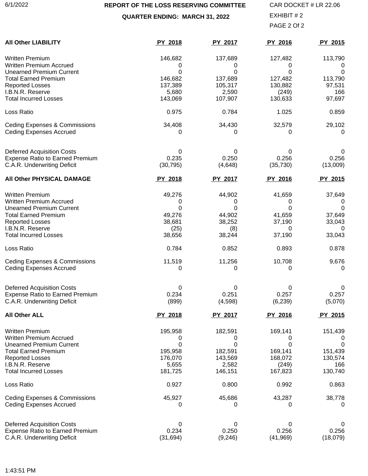### **REPORT OF THE LOSS RESERVING COMMITTEE**

**QUARTER ENDING: MARCH 31, 2022**

PAGE 2 Of 2 CAR DOCKET # LR 22.06 EXHIBIT # 2

| <b>All Other LIABILITY</b>                                                                                                                                                                               | PY 2018                                                     | PY 2017                                                     | PY 2016                                                     | PY 2015                                              |
|----------------------------------------------------------------------------------------------------------------------------------------------------------------------------------------------------------|-------------------------------------------------------------|-------------------------------------------------------------|-------------------------------------------------------------|------------------------------------------------------|
| <b>Written Premium</b>                                                                                                                                                                                   | 146,682                                                     | 137,689                                                     | 127,482                                                     | 113,790                                              |
| <b>Written Premium Accrued</b>                                                                                                                                                                           | 0                                                           | 0                                                           | 0                                                           | U                                                    |
| <b>Unearned Premium Current</b>                                                                                                                                                                          | 0                                                           | 0                                                           | 0                                                           | 0                                                    |
| <b>Total Earned Premium</b>                                                                                                                                                                              | 146,682                                                     | 137,689                                                     | 127,482                                                     | 113,790                                              |
| <b>Reported Losses</b>                                                                                                                                                                                   | 137,389                                                     | 105,317                                                     | 130,882                                                     | 97,531                                               |
| I.B.N.R. Reserve                                                                                                                                                                                         | 5,680                                                       | 2,590                                                       | (249)                                                       | 166                                                  |
| <b>Total Incurred Losses</b>                                                                                                                                                                             | 143,069                                                     | 107,907                                                     | 130,633                                                     | 97,697                                               |
| Loss Ratio                                                                                                                                                                                               | 0.975                                                       | 0.784                                                       | 1.025                                                       | 0.859                                                |
| <b>Ceding Expenses &amp; Commissions</b>                                                                                                                                                                 | 34,408                                                      | 34,430                                                      | 32,579                                                      | 29,102                                               |
| <b>Ceding Expenses Accrued</b>                                                                                                                                                                           | 0                                                           | 0                                                           | 0                                                           | 0                                                    |
| <b>Deferred Acquisition Costs</b>                                                                                                                                                                        | 0                                                           | 0                                                           | 0                                                           | 0                                                    |
| <b>Expense Ratio to Earned Premium</b>                                                                                                                                                                   | 0.235                                                       | 0.250                                                       | 0.256                                                       | 0.256                                                |
| C.A.R. Underwriting Deficit                                                                                                                                                                              | (30, 795)                                                   | (4,648)                                                     | (35, 730)                                                   | (13,009)                                             |
| All Other PHYSICAL DAMAGE                                                                                                                                                                                | PY 2018                                                     | PY 2017                                                     | PY 2016                                                     | PY 2015                                              |
| <b>Written Premium</b>                                                                                                                                                                                   | 49,276                                                      | 44,902                                                      | 41,659                                                      | 37,649                                               |
| <b>Written Premium Accrued</b>                                                                                                                                                                           | 0                                                           | 0                                                           | 0                                                           | 0                                                    |
| <b>Unearned Premium Current</b>                                                                                                                                                                          | 0                                                           | 0                                                           | 0                                                           | 0                                                    |
| <b>Total Earned Premium</b>                                                                                                                                                                              | 49,276                                                      | 44,902                                                      | 41,659                                                      | 37,649                                               |
| <b>Reported Losses</b>                                                                                                                                                                                   | 38,681                                                      | 38,252                                                      | 37,190                                                      | 33,043                                               |
| I.B.N.R. Reserve                                                                                                                                                                                         | (25)                                                        | (8)                                                         | 0                                                           | 0                                                    |
| <b>Total Incurred Losses</b>                                                                                                                                                                             | 38,656                                                      | 38,244                                                      | 37,190                                                      | 33,043                                               |
| Loss Ratio                                                                                                                                                                                               | 0.784                                                       | 0.852                                                       | 0.893                                                       | 0.878                                                |
| <b>Ceding Expenses &amp; Commissions</b>                                                                                                                                                                 | 11,519                                                      | 11,256                                                      | 10,708                                                      | 9,676                                                |
| <b>Ceding Expenses Accrued</b>                                                                                                                                                                           | 0                                                           | 0                                                           | 0                                                           | 0                                                    |
| <b>Deferred Acquisition Costs</b>                                                                                                                                                                        | 0                                                           | 0                                                           | 0                                                           | O                                                    |
| <b>Expense Ratio to Earned Premium</b>                                                                                                                                                                   | 0.234                                                       | 0.251                                                       | 0.257                                                       | 0.257                                                |
| C.A.R. Underwriting Deficit                                                                                                                                                                              | (899)                                                       | (4,598)                                                     | (6, 239)                                                    | (5,070)                                              |
| <b>All Other ALL</b>                                                                                                                                                                                     | PY 2018                                                     | PY 2017                                                     | PY 2016                                                     | PY 2015                                              |
| <b>Written Premium</b><br><b>Written Premium Accrued</b><br><b>Unearned Premium Current</b><br><b>Total Earned Premium</b><br><b>Reported Losses</b><br>I.B.N.R. Reserve<br><b>Total Incurred Losses</b> | 195,958<br>0<br>0<br>195,958<br>176,070<br>5,655<br>181,725 | 182,591<br>0<br>0<br>182,591<br>143,569<br>2,582<br>146,151 | 169,141<br>0<br>0<br>169,141<br>168,072<br>(249)<br>167,823 | 151,439<br>0<br>151,439<br>130,574<br>166<br>130,740 |
| Loss Ratio                                                                                                                                                                                               | 0.927                                                       | 0.800                                                       | 0.992                                                       | 0.863                                                |
| <b>Ceding Expenses &amp; Commissions</b>                                                                                                                                                                 | 45,927                                                      | 45,686                                                      | 43,287                                                      | 38,778                                               |
| <b>Ceding Expenses Accrued</b>                                                                                                                                                                           | 0                                                           | 0                                                           | 0                                                           | 0                                                    |
| <b>Deferred Acquisition Costs</b>                                                                                                                                                                        | 0                                                           | 0                                                           | 0                                                           | O                                                    |
| <b>Expense Ratio to Earned Premium</b>                                                                                                                                                                   | 0.234                                                       | 0.250                                                       | 0.256                                                       | 0.256                                                |
| C.A.R. Underwriting Deficit                                                                                                                                                                              | (31, 694)                                                   | (9, 246)                                                    | (41, 969)                                                   | (18,079)                                             |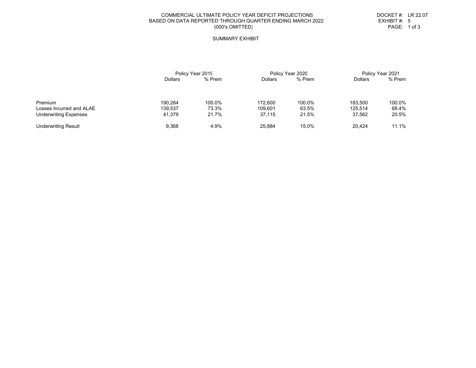#### COMMERCIAL ULTIMATE POLICY YEAR DEFICIT PROJECTION SBASED ON DATA REPORTED THROUGH QUARTER ENDING MARCH 2022 EXHIBIT #: 5<br>(000's OMITTED) PAGE: 1 of 3 (000's OMITTED)

 DOCKET #: LR 22.07 EXHIBIT  $#: 5$ 

#### SUMMARY EXHIBI T

<span id="page-23-0"></span>

|                              | Policy Year 2019 |        | Policy Year 2020 |        | Policy Year 2021 |        |
|------------------------------|------------------|--------|------------------|--------|------------------|--------|
|                              | <b>Dollars</b>   | % Prem | <b>Dollars</b>   | % Prem | <b>Dollars</b>   | % Prem |
| Premium                      | 190.284          | 100.0% | 172.600          | 100.0% | 183.500          | 100.0% |
| Losses Incurred and ALAE     | 139.537          | 73.3%  | 109.601          | 63.5%  | 125.514          | 68.4%  |
| <b>Underwriting Expenses</b> | 41.379           | 21.7%  | 37.115           | 21.5%  | 37,562           | 20.5%  |
| <b>Underwriting Result</b>   | 9.368            | 4.9%   | 25.884           | 15.0%  | 20.424           | 11.1%  |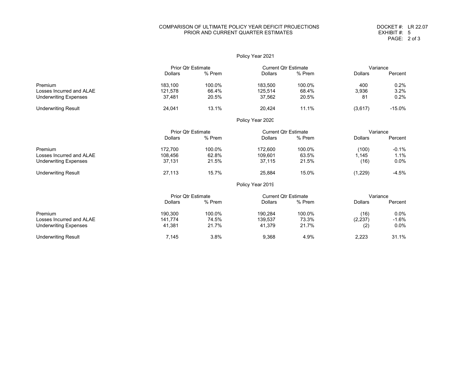#### COMPARISON OF ULTIMATE POLICY YEAR DEFICIT PROJECTION SPRIOR AND CURRENT QUARTER ESTIMATES

|                              |                           |                                                          | Policy Year 2021            |        |                |          |
|------------------------------|---------------------------|----------------------------------------------------------|-----------------------------|--------|----------------|----------|
|                              |                           | <b>Prior Qtr Estimate</b><br><b>Current Qtr Estimate</b> |                             |        | Variance       |          |
|                              | <b>Dollars</b>            | % Prem                                                   | <b>Dollars</b>              | % Prem | <b>Dollars</b> | Percent  |
| Premium                      | 183,100                   | 100.0%                                                   | 183,500                     | 100.0% | 400            | 0.2%     |
| Losses Incurred and ALAE     | 121,578                   | 66.4%                                                    | 125,514                     | 68.4%  | 3,936          | 3.2%     |
| <b>Underwriting Expenses</b> | 37,481                    | 20.5%                                                    | 37,562                      | 20.5%  | 81             | 0.2%     |
| <b>Underwriting Result</b>   | 24,041                    | 13.1%                                                    | 20,424                      | 11.1%  | (3,617)        | $-15.0%$ |
|                              |                           |                                                          | Policy Year 2020            |        |                |          |
|                              | <b>Prior Qtr Estimate</b> |                                                          | <b>Current Qtr Estimate</b> |        | Variance       |          |
|                              | <b>Dollars</b>            | % Prem                                                   | <b>Dollars</b>              | % Prem | <b>Dollars</b> | Percent  |
| Premium                      | 172,700                   | 100.0%                                                   | 172,600                     | 100.0% | (100)          | $-0.1%$  |
| Losses Incurred and ALAE     | 108,456                   | 62.8%                                                    | 109,601                     | 63.5%  | 1,145          | 1.1%     |
| <b>Underwriting Expenses</b> | 37,131                    | 21.5%                                                    | 37,115                      | 21.5%  | (16)           | 0.0%     |
| <b>Underwriting Result</b>   | 27,113                    | 15.7%                                                    | 25,884                      | 15.0%  | (1,229)        | $-4.5%$  |
|                              |                           |                                                          | Policy Year 2019            |        |                |          |
|                              | <b>Prior Qtr Estimate</b> |                                                          | <b>Current Qtr Estimate</b> |        |                | Variance |
|                              | <b>Dollars</b>            | % Prem                                                   | <b>Dollars</b>              | % Prem | <b>Dollars</b> | Percent  |
| Premium                      | 190,300                   | 100.0%                                                   | 190,284                     | 100.0% | (16)           | $0.0\%$  |
| Losses Incurred and ALAE     | 141,774                   | 74.5%                                                    | 139,537                     | 73.3%  | (2, 237)       | $-1.6%$  |
| <b>Underwriting Expenses</b> | 41,381                    | 21.7%                                                    | 41,379                      | 21.7%  | (2)            | 0.0%     |
| <b>Underwriting Result</b>   | 7,145                     | 3.8%                                                     | 9,368                       | 4.9%   | 2,223          | 31.1%    |